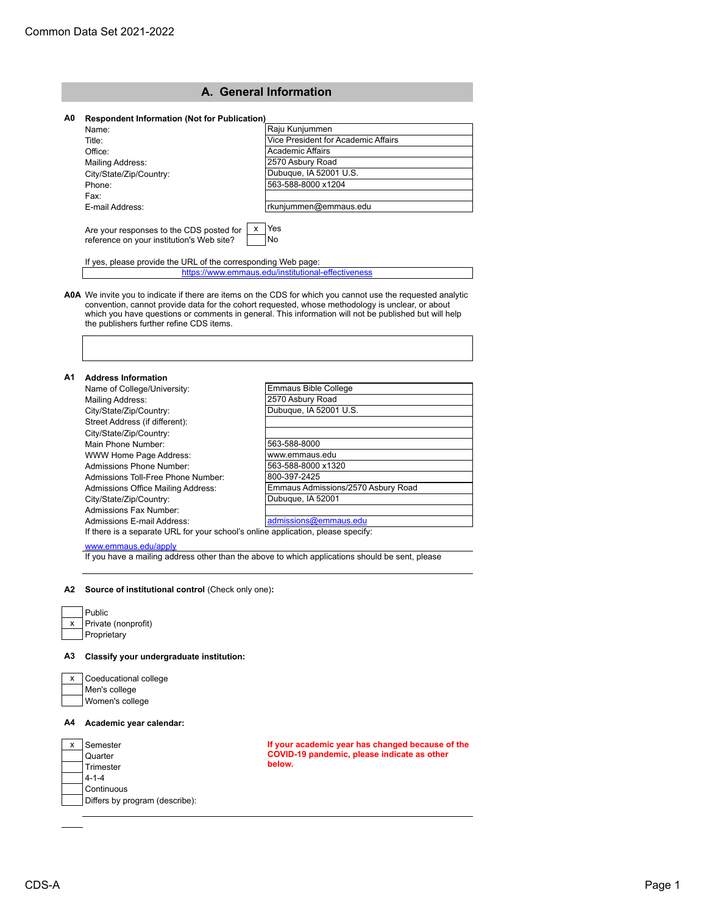# **A. General Information**

| A0 | <b>Respondent Information (Not for Publication)</b>                                                        |                                     |  |
|----|------------------------------------------------------------------------------------------------------------|-------------------------------------|--|
|    | Name:                                                                                                      | Raju Kunjummen                      |  |
|    | Title:                                                                                                     | Vice President for Academic Affairs |  |
|    | Office:                                                                                                    | Academic Affairs                    |  |
|    | <b>Mailing Address:</b>                                                                                    | 2570 Asbury Road                    |  |
|    | City/State/Zip/Country:                                                                                    | Dubuque, IA 52001 U.S.              |  |
|    | Phone:                                                                                                     | 563-588-8000 x1204                  |  |
|    | Fax:                                                                                                       |                                     |  |
|    | F-mail Address:                                                                                            | rkunjummen@emmaus.edu               |  |
|    |                                                                                                            |                                     |  |
|    | Are your responses to the CDS posted for                                                                   | l Yes                               |  |
|    | reference on your institution's Web site?                                                                  | l No                                |  |
|    | If $\cos \theta$ is a long of $\sin \theta$ is a subset of the consequence of $M_{\text{obs}}$ is a second |                                     |  |

If yes, please provide the URL of the corresponding Web page: <https://www.emmaus.edu/institutional-effectiveness>

**A0A** We invite you to indicate if there are items on the CDS for which you cannot use the requested analytic convention, cannot provide data for the cohort requested, whose methodology is unclear, or about which you have questions or comments in general. This information will not be published but will help the publishers further refine CDS items.

| А1 | <b>Address Information</b>                                                       |                                    |
|----|----------------------------------------------------------------------------------|------------------------------------|
|    | Name of College/University:                                                      | <b>Emmaus Bible College</b>        |
|    | Mailing Address:                                                                 | 2570 Asbury Road                   |
|    | City/State/Zip/Country:                                                          | Dubuque, IA 52001 U.S.             |
|    | Street Address (if different):                                                   |                                    |
|    | City/State/Zip/Country:                                                          |                                    |
|    | Main Phone Number:                                                               | 563-588-8000                       |
|    | WWW Home Page Address:                                                           | www.emmaus.edu                     |
|    | Admissions Phone Number:                                                         | 563-588-8000 x1320                 |
|    | Admissions Toll-Free Phone Number:                                               | 800-397-2425                       |
|    | Admissions Office Mailing Address:                                               | Emmaus Admissions/2570 Asbury Road |
|    | City/State/Zip/Country:                                                          | Dubuque, IA 52001                  |
|    | Admissions Fax Number:                                                           |                                    |
|    | Admissions E-mail Address:                                                       | admissions@emmaus.edu              |
|    | If there is a separate URL for your school's online application, please specify: |                                    |

## [www.emmaus.edu/apply](http://www.emmaus.edu/apply)

If you have a mailing address other than the above to which applications should be sent, please

# **A2 Source of institutional control** (Check only one)**:**

| <b>Public</b>       |
|---------------------|
| Private (nonprofit) |
| Proprietary         |

## **A3 Classify your undergraduate institution:**

| Coeducational college |
|-----------------------|
| Men's college         |
| Women's college       |

## **A4 Academic year calendar:**

| Semester                       | If your academic year has changed because of the |
|--------------------------------|--------------------------------------------------|
| Quarter                        | COVID-19 pandemic, please indicate as other      |
| Trimester                      | below.                                           |
| $4 - 1 - 4$                    |                                                  |
| Continuous                     |                                                  |
| Differs by program (describe): |                                                  |
|                                |                                                  |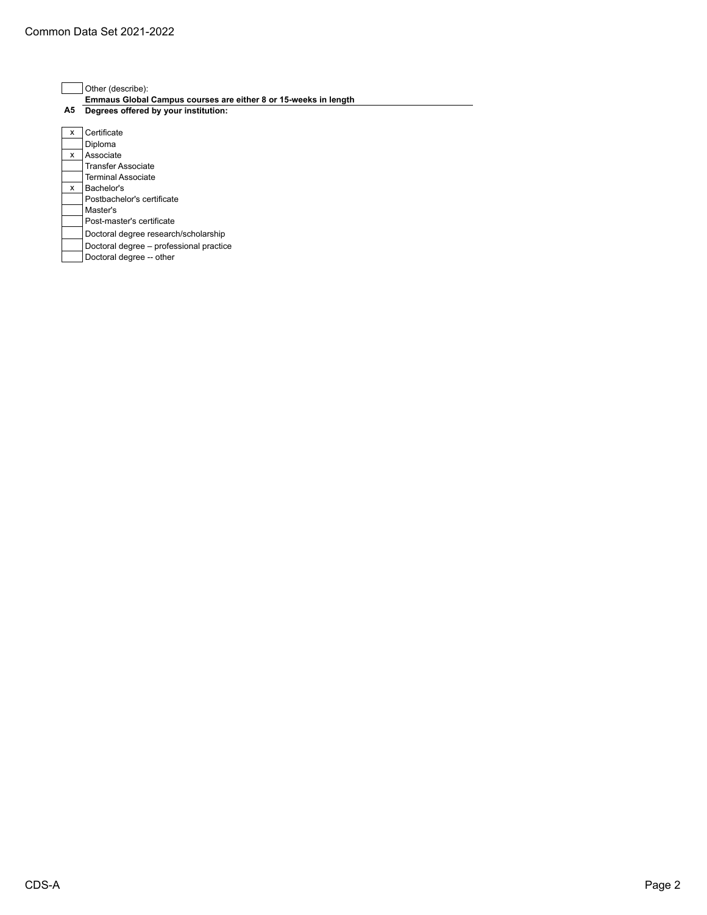- Other (describe): **Emmaus Global Campus courses are either 8 or 15-weeks in length A5 Degrees offered by your institution:** x Certificate Diploma x Associate Transfer Associate Terminal Associate
- x Bachelor's Postbachelor's certificate Master's Post-master's certificate Doctoral degree research/scholarship Doctoral degree – professional practice
- Doctoral degree -- other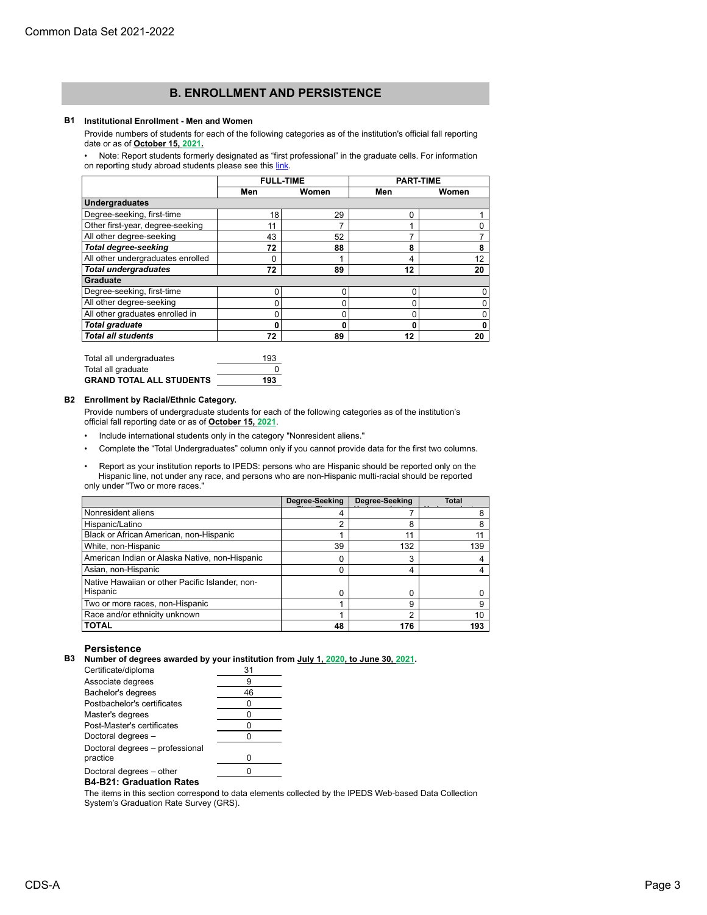# **B. ENROLLMENT AND PERSISTENCE**

### **B1 Institutional Enrollment - Men and Women**

Provide numbers of students for each of the following categories as of the institution's official fall reporting date or as of **October 15, 2021.**

• Note: Report students formerly designated as "first professional" in the graduate cells. For information on reporting study abroad students please see this link.

|                                   | <b>FULL-TIME</b> |       | <b>PART-TIME</b> |       |
|-----------------------------------|------------------|-------|------------------|-------|
|                                   | Men              | Women | Men              | Women |
| <b>Undergraduates</b>             |                  |       |                  |       |
| Degree-seeking, first-time        | 18               | 29    | 0                |       |
| Other first-year, degree-seeking  | 11               |       |                  |       |
| All other degree-seeking          | 43               | 52    |                  |       |
| <b>Total degree-seeking</b>       | 72               | 88    | 8                | 8     |
| All other undergraduates enrolled | O                |       | 4                | 12    |
| <b>Total undergraduates</b>       | 72               | 89    | 12               | 20    |
| Graduate                          |                  |       |                  |       |
| Degree-seeking, first-time        |                  | 0     |                  |       |
| All other degree-seeking          |                  | 0     |                  |       |
| All other graduates enrolled in   |                  | ი     |                  |       |
| <b>Total graduate</b>             |                  |       |                  |       |
| <b>Total all students</b>         | 72               | 89    | 12               | 20    |
|                                   |                  |       |                  |       |

| Total all undergraduates        | 193 |
|---------------------------------|-----|
| Total all graduate              |     |
| <b>GRAND TOTAL ALL STUDENTS</b> | 193 |

### **B2 Enrollment by Racial/Ethnic Category.**

Provide numbers of undergraduate students for each of the following categories as of the institution's official fall reporting date or as of **October 15, 2021**.

- Include international students only in the category "Nonresident aliens."
- Complete the "Total Undergraduates" column only if you cannot provide data for the first two columns.
- Report as your institution reports to IPEDS: persons who are Hispanic should be reported only on the Hispanic line, not under any race, and persons who are non-Hispanic multi-racial should be reported only under "Two or more races."

|                                                 | Degree-Seeking | Degree-Seeking | <b>Total</b> |
|-------------------------------------------------|----------------|----------------|--------------|
| Nonresident aliens                              |                |                |              |
| Hispanic/Latino                                 | ົ              | 8              |              |
| Black or African American, non-Hispanic         |                | 11             |              |
| White, non-Hispanic                             | 39             | 132            | 139          |
| American Indian or Alaska Native, non-Hispanic  |                | 3              |              |
| Asian, non-Hispanic                             |                | 4              |              |
| Native Hawaiian or other Pacific Islander, non- |                |                |              |
| Hispanic                                        |                | 0              |              |
| Two or more races, non-Hispanic                 |                | 9              | 9            |
| Race and/or ethnicity unknown                   |                | າ              | 10           |
| <b>TOTAL</b>                                    | 48             | 176            | 193          |

### **Persistence**

**B3 Number of degrees awarded by your institution from July 1, 2020, to June 30, 2021.**

| Certificate/diploma             | 31 |
|---------------------------------|----|
| Associate degrees               | g  |
| Bachelor's degrees              | 46 |
| Postbachelor's certificates     |    |
| Master's degrees                |    |
| Post-Master's certificates      |    |
| Doctoral degrees -              |    |
| Doctoral degrees - professional |    |
| practice                        |    |
| Doctoral degrees - other        |    |
| --------                        |    |

#### **B4-B21: Graduation Rates**

The items in this section correspond to data elements collected by the IPEDS Web-based Data Collection System's Graduation Rate Survey (GRS).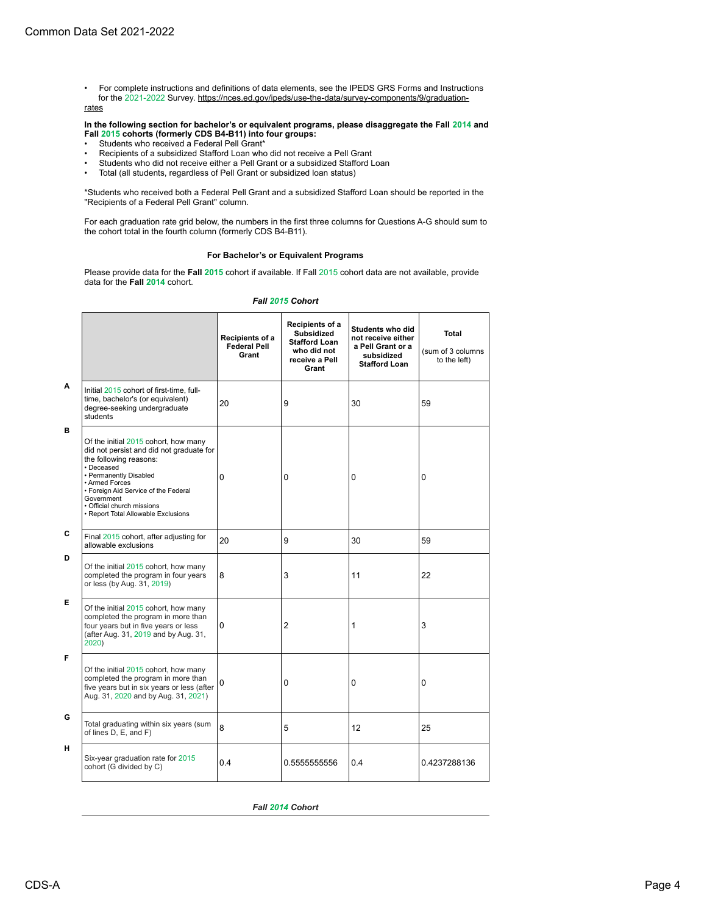• For complete instructions and definitions of data elements, see the IPEDS GRS Forms and Instructions for the 2021-2022 Survey. https://nces.ed.gov/ipeds/use-the-data/survey-components/9/graduation-

rates

**In the following section for bachelor's or equivalent programs, please disaggregate the Fall 2014 and Fall 2015 cohorts (formerly CDS B4-B11) into four groups:**

- Students who received a Federal Pell Grant\*
- Recipients of a subsidized Stafford Loan who did not receive a Pell Grant
- Students who did not receive either a Pell Grant or a subsidized Stafford Loan
- Total (all students, regardless of Pell Grant or subsidized loan status)

\*Students who received both a Federal Pell Grant and a subsidized Stafford Loan should be reported in the "Recipients of a Federal Pell Grant" column.

For each graduation rate grid below, the numbers in the first three columns for Questions A-G should sum to the cohort total in the fourth column (formerly CDS B4-B11).

## **For Bachelor's or Equivalent Programs**

Please provide data for the **Fall 2015** cohort if available. If Fall 2015 cohort data are not available, provide data for the **Fall 2014** cohort.

|   |                                                                                                                                                                                                                                                                                                 | Recipients of a<br><b>Federal Pell</b><br>Grant | Recipients of a<br>Subsidized<br><b>Stafford Loan</b><br>who did not<br>receive a Pell<br>Grant | <b>Students who did</b><br>not receive either<br>a Pell Grant or a<br>subsidized<br><b>Stafford Loan</b> | Total<br>(sum of 3 columns<br>to the left) |
|---|-------------------------------------------------------------------------------------------------------------------------------------------------------------------------------------------------------------------------------------------------------------------------------------------------|-------------------------------------------------|-------------------------------------------------------------------------------------------------|----------------------------------------------------------------------------------------------------------|--------------------------------------------|
| A | Initial 2015 cohort of first-time. full-<br>time, bachelor's (or equivalent)<br>degree-seeking undergraduate<br>students                                                                                                                                                                        | 20                                              | 9                                                                                               | 30                                                                                                       | 59                                         |
| в | Of the initial 2015 cohort, how many<br>did not persist and did not graduate for<br>the following reasons:<br>• Deceased<br>• Permanently Disabled<br>• Armed Forces<br>• Foreign Aid Service of the Federal<br>Government<br>· Official church missions<br>• Report Total Allowable Exclusions | 0                                               | 0                                                                                               | 0                                                                                                        | 0                                          |
| C | Final 2015 cohort, after adjusting for<br>allowable exclusions                                                                                                                                                                                                                                  | 20                                              | 9                                                                                               | 30                                                                                                       | 59                                         |
| D | Of the initial 2015 cohort, how many<br>completed the program in four years<br>or less (by Aug. 31, 2019)                                                                                                                                                                                       | 8                                               | 3                                                                                               | 11                                                                                                       | 22                                         |
| Е | Of the initial 2015 cohort, how many<br>completed the program in more than<br>four years but in five years or less<br>(after Aug. 31, 2019 and by Aug. 31,<br>2020)                                                                                                                             | 0                                               | 2                                                                                               | 1                                                                                                        | 3                                          |
| F | Of the initial 2015 cohort, how many<br>completed the program in more than<br>five years but in six years or less (after<br>Aug. 31, 2020 and by Aug. 31, 2021)                                                                                                                                 | 0                                               | 0                                                                                               | 0                                                                                                        | 0                                          |
| G | Total graduating within six years (sum<br>of lines D, E, and F)                                                                                                                                                                                                                                 | 8                                               | 5                                                                                               | 12                                                                                                       | 25                                         |
| н | Six-year graduation rate for 2015<br>cohort (G divided by C)                                                                                                                                                                                                                                    | 0.4                                             | 0.5555555556                                                                                    | 0.4                                                                                                      | 0.4237288136                               |

### *Fall 2015 Cohort*

*Fall 2014 Cohort*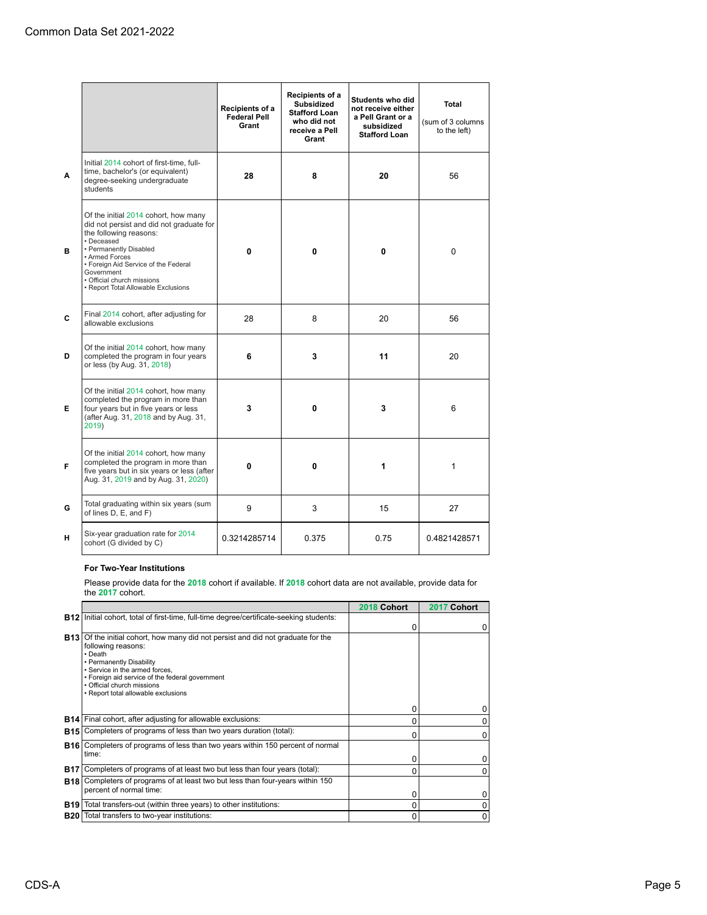|   |                                                                                                                                                                                                                                                                                                 | Recipients of a<br><b>Federal Pell</b><br>Grant | Recipients of a<br><b>Subsidized</b><br><b>Stafford Loan</b><br>who did not<br>receive a Pell<br>Grant | Students who did<br>not receive either<br>a Pell Grant or a<br>subsidized<br><b>Stafford Loan</b> | Total<br>(sum of 3 columns<br>to the left) |
|---|-------------------------------------------------------------------------------------------------------------------------------------------------------------------------------------------------------------------------------------------------------------------------------------------------|-------------------------------------------------|--------------------------------------------------------------------------------------------------------|---------------------------------------------------------------------------------------------------|--------------------------------------------|
| A | Initial 2014 cohort of first-time, full-<br>time, bachelor's (or equivalent)<br>degree-seeking undergraduate<br>students                                                                                                                                                                        | 28                                              | 8                                                                                                      | 20                                                                                                | 56                                         |
| в | Of the initial 2014 cohort, how many<br>did not persist and did not graduate for<br>the following reasons:<br>• Deceased<br>• Permanently Disabled<br>• Armed Forces<br>• Foreign Aid Service of the Federal<br>Government<br>· Official church missions<br>• Report Total Allowable Exclusions | 0                                               | 0                                                                                                      | 0                                                                                                 | $\Omega$                                   |
| C | Final 2014 cohort, after adjusting for<br>allowable exclusions                                                                                                                                                                                                                                  | 28                                              | 8                                                                                                      | 20                                                                                                | 56                                         |
| D | Of the initial 2014 cohort, how many<br>completed the program in four years<br>or less (by Aug. 31, 2018)                                                                                                                                                                                       | 6                                               | 3                                                                                                      | 11                                                                                                | 20                                         |
| Е | Of the initial 2014 cohort, how many<br>completed the program in more than<br>four years but in five years or less<br>(after Aug. 31, 2018 and by Aug. 31,<br>2019)                                                                                                                             | 3                                               | 0                                                                                                      | 3                                                                                                 | 6                                          |
| F | Of the initial 2014 cohort, how many<br>completed the program in more than<br>five years but in six years or less (after<br>Aug. 31, 2019 and by Aug. 31, 2020)                                                                                                                                 | 0                                               | 0                                                                                                      | 1                                                                                                 | 1                                          |
| G | Total graduating within six years (sum<br>of lines D, E, and F)                                                                                                                                                                                                                                 | 9                                               | 3                                                                                                      | 15                                                                                                | 27                                         |
| н | Six-year graduation rate for 2014<br>cohort (G divided by C)                                                                                                                                                                                                                                    | 0.3214285714                                    | 0.375                                                                                                  | 0.75                                                                                              | 0.4821428571                               |

# **For Two-Year Institutions**

Please provide data for the **2018** cohort if available. If **2018** cohort data are not available, provide data for the **2017** cohort.

|            |                                                                                                                                                                                                                                                                                                                      | 2018 Cohort | 2017 Cohort |
|------------|----------------------------------------------------------------------------------------------------------------------------------------------------------------------------------------------------------------------------------------------------------------------------------------------------------------------|-------------|-------------|
|            | <b>B12</b> Initial cohort, total of first-time, full-time degree/certificate-seeking students:                                                                                                                                                                                                                       | O           |             |
|            | <b>B13</b> Of the initial cohort, how many did not persist and did not graduate for the<br>following reasons:<br>$\cdot$ Death<br>• Permanently Disability<br>• Service in the armed forces.<br>• Foreign aid service of the federal government<br>• Official church missions<br>• Report total allowable exclusions |             |             |
|            |                                                                                                                                                                                                                                                                                                                      | O           |             |
|            | <b>B14</b> Final cohort, after adjusting for allowable exclusions:                                                                                                                                                                                                                                                   | O           |             |
|            | <b>B15</b> Completers of programs of less than two years duration (total):                                                                                                                                                                                                                                           | O           |             |
|            | <b>B16</b> Completers of programs of less than two years within 150 percent of normal<br>time:                                                                                                                                                                                                                       | O           |             |
| B17        | Completers of programs of at least two but less than four years (total):                                                                                                                                                                                                                                             | n           |             |
|            | <b>B18</b> Completers of programs of at least two but less than four-years within 150<br>percent of normal time:                                                                                                                                                                                                     | 0           |             |
|            | <b>B19</b> Total transfers-out (within three years) to other institutions:                                                                                                                                                                                                                                           | O           |             |
| <b>B20</b> | Total transfers to two-year institutions:                                                                                                                                                                                                                                                                            | 0           | 0           |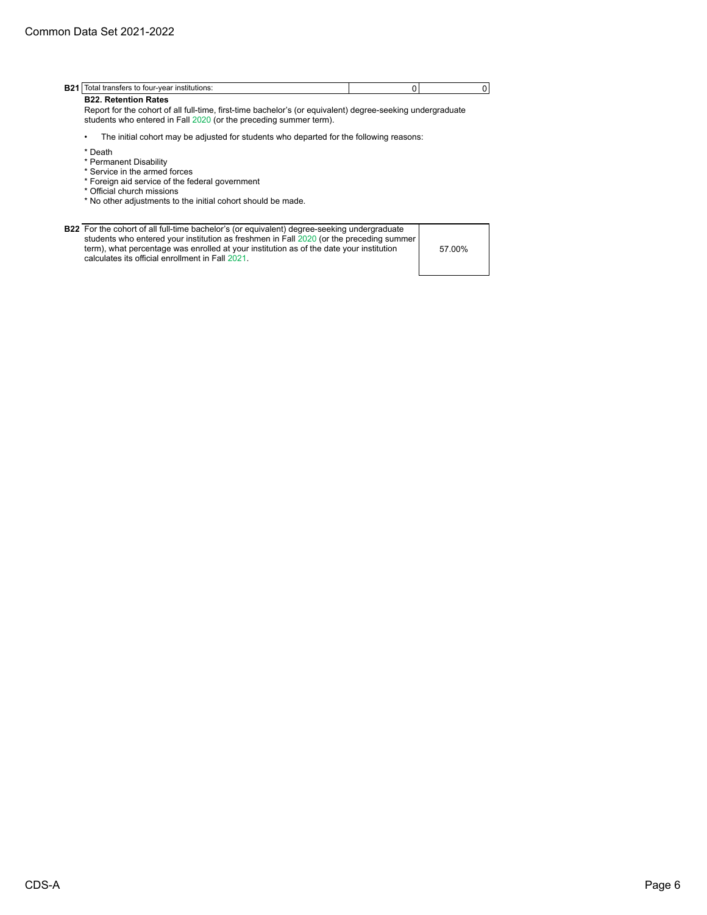| œ<br><br>-- | ınstıtı<br>™utions.<br>ן דה four-vear<br>$'$ Inta.<br>.di isir<br>.                               |  |
|-------------|---------------------------------------------------------------------------------------------------|--|
|             | the property of the control of the control of the control of the control of<br>the company's com- |  |

# **B22. Retention Rates**

Report for the cohort of all full-time, first-time bachelor's (or equivalent) degree-seeking undergraduate students who entered in Fall 2020 (or the preceding summer term).

- The initial cohort may be adjusted for students who departed for the following reasons:
- \* Death
- \* Permanent Disability
- \* Service in the armed forces
- \* Foreign aid service of the federal government
- \* Official church missions
- \* No other adjustments to the initial cohort should be made.
- **B22** For the cohort of all full-time bachelor's (or equivalent) degree-seeking undergraduate students who entered your institution as freshmen in Fall 2020 (or the preceding summer term), what percentage was enrolled at your institution as of the date your institution calculates its official enrollment in Fall 2021.

57.00%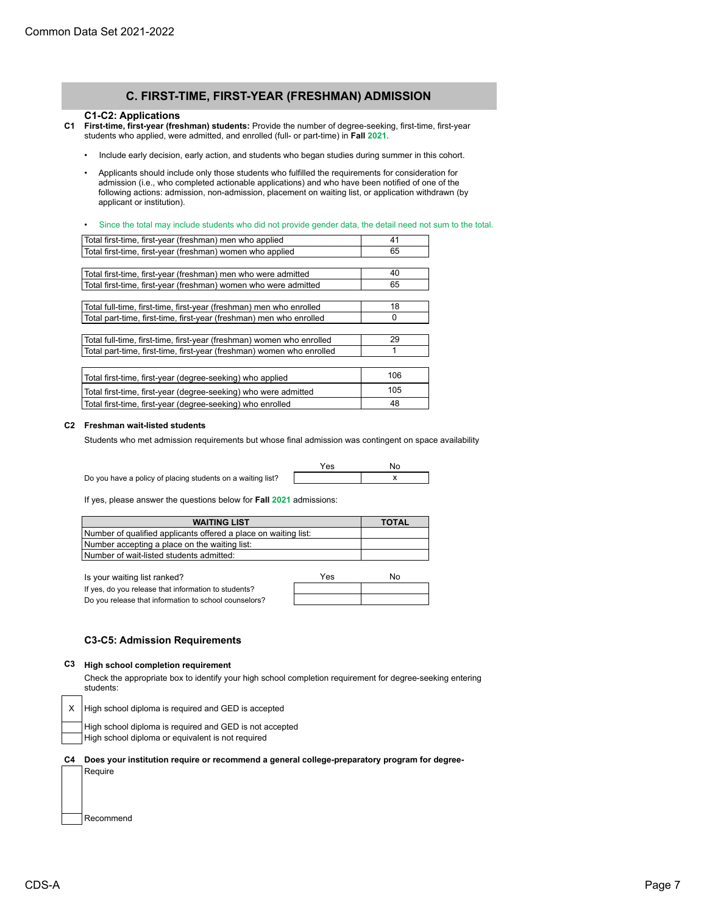# **C. FIRST-TIME, FIRST-YEAR (FRESHMAN) ADMISSION**

#### **C1-C2: Applications**

**C1 First-time, first-year (freshman) students:** Provide the number of degree-seeking, first-time, first-year students who applied, were admitted, and enrolled (full- or part-time) in **Fall 2021**.

- Include early decision, early action, and students who began studies during summer in this cohort.
- Applicants should include only those students who fulfilled the requirements for consideration for admission (i.e., who completed actionable applications) and who have been notified of one of the following actions: admission, non-admission, placement on waiting list, or application withdrawn (by applicant or institution).
- Since the total may include students who did not provide gender data, the detail need not sum to the total.

| Total first-time, first-year (freshman) men who applied               | 41  |
|-----------------------------------------------------------------------|-----|
| Total first-time, first-year (freshman) women who applied             | 65  |
|                                                                       |     |
| Total first-time, first-year (freshman) men who were admitted         | 40  |
| Total first-time, first-year (freshman) women who were admitted       | 65  |
|                                                                       |     |
| Total full-time, first-time, first-year (freshman) men who enrolled   | 18  |
| Total part-time, first-time, first-year (freshman) men who enrolled   | 0   |
|                                                                       |     |
| Total full-time, first-time, first-year (freshman) women who enrolled | 29  |
| Total part-time, first-time, first-year (freshman) women who enrolled |     |
|                                                                       |     |
| Total first-time, first-year (degree-seeking) who applied             | 106 |
| Total first-time, first-year (degree-seeking) who were admitted       | 105 |
| Total first-time, first-year (degree-seeking) who enrolled            | 48  |

## **C2 Freshman wait-listed students**

Students who met admission requirements but whose final admission was contingent on space availability

Do you have a policy of placing students on a waiting list?  $\vert$  x



If yes, please answer the questions below for **Fall 2021** admissions:

| <b>WAITING LIST</b>                                             | <b>TOTAL</b> |
|-----------------------------------------------------------------|--------------|
| Number of qualified applicants offered a place on waiting list: |              |
| Number accepting a place on the waiting list:                   |              |
| Number of wait-listed students admitted:                        |              |

| Is your waiting list ranked?                          | Yes | No. |
|-------------------------------------------------------|-----|-----|
| If yes, do you release that information to students?  |     |     |
| Do you release that information to school counselors? |     |     |

## **C3-C5: Admission Requirements**

#### **C3 High school completion requirement**

Check the appropriate box to identify your high school completion requirement for degree-seeking entering students:

 $X$  High school diploma is required and GED is accepted

High school diploma is required and GED is not accepted

High school diploma or equivalent is not required

# **C4 Does your institution require or recommend a general college-preparatory program for degree-**

| Recommend |
|-----------|

**Require**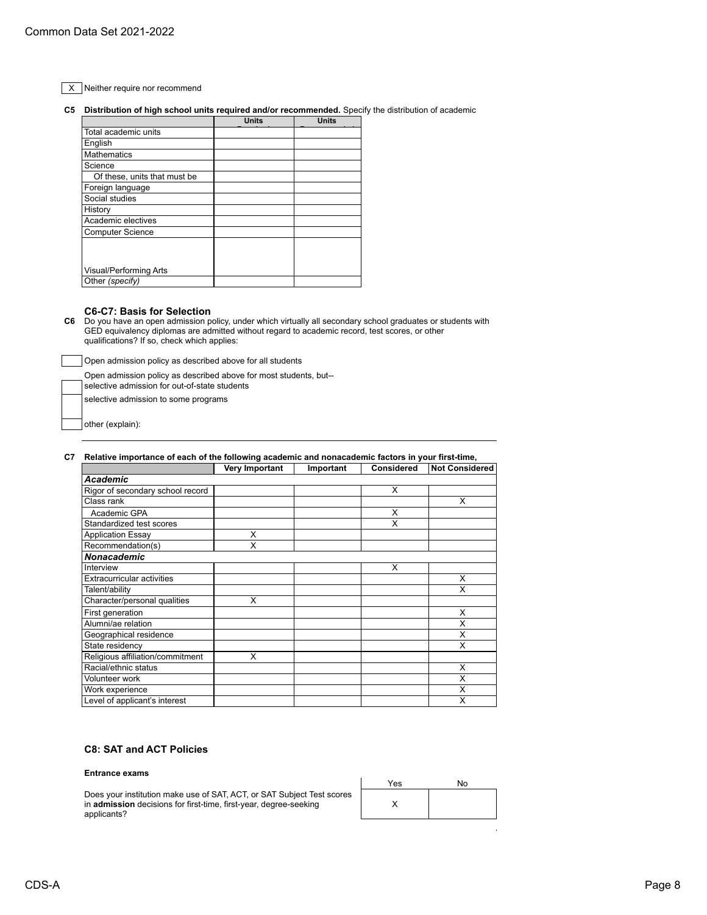$\overline{X}$  Neither require nor recommend

# **C5 Distribution of high school units required and/or recommended.** Specify the distribution of academic

|                              | <b>Units</b> | <b>Units</b> |
|------------------------------|--------------|--------------|
| Total academic units         |              |              |
| English                      |              |              |
| <b>Mathematics</b>           |              |              |
| Science                      |              |              |
| Of these, units that must be |              |              |
| Foreign language             |              |              |
| Social studies               |              |              |
| History                      |              |              |
| Academic electives           |              |              |
| <b>Computer Science</b>      |              |              |
|                              |              |              |
|                              |              |              |
| Visual/Performing Arts       |              |              |
| Other (specify)              |              |              |

### **C6-C7: Basis for Selection**

**C6** Do you have an open admission policy, under which virtually all secondary school graduates or students with GED equivalency diplomas are admitted without regard to academic record, test scores, or other qualifications? If so, check which applies:

Open admission policy as described above for all students

Open admission policy as described above for most students, but--

selective admission for out-of-state students

selective admission to some programs

other (explain):

# **C7 Relative importance of each of the following academic and nonacademic factors in your first-time,**

|                                   | Very Important | Important | <b>Considered</b> | <b>Not Considered</b> |
|-----------------------------------|----------------|-----------|-------------------|-----------------------|
| <b>Academic</b>                   |                |           |                   |                       |
| Rigor of secondary school record  |                |           | X                 |                       |
| Class rank                        |                |           |                   | X                     |
| Academic GPA                      |                |           | X                 |                       |
| Standardized test scores          |                |           | X                 |                       |
| <b>Application Essay</b>          | X              |           |                   |                       |
| Recommendation(s)                 | X              |           |                   |                       |
| Nonacademic                       |                |           |                   |                       |
| Interview                         |                |           | X                 |                       |
| <b>Extracurricular activities</b> |                |           |                   | X                     |
| Talent/ability                    |                |           |                   | X                     |
| Character/personal qualities      | X              |           |                   |                       |
| First generation                  |                |           |                   | X                     |
| Alumni/ae relation                |                |           |                   | X                     |
| Geographical residence            |                |           |                   | x                     |
| State residency                   |                |           |                   | X                     |
| Religious affiliation/commitment  | X              |           |                   |                       |
| Racial/ethnic status              |                |           |                   | X                     |
| Volunteer work                    |                |           |                   | X                     |
| Work experience                   |                |           |                   | X                     |
| Level of applicant's interest     |                |           |                   | X                     |

# **C8: SAT and ACT Policies**

#### **Entrance exams**

Does your institution make use of SAT, ACT, or SAT Subject Test scores in **admission** decisions for first-time, first-year, degree-seeking applicants?

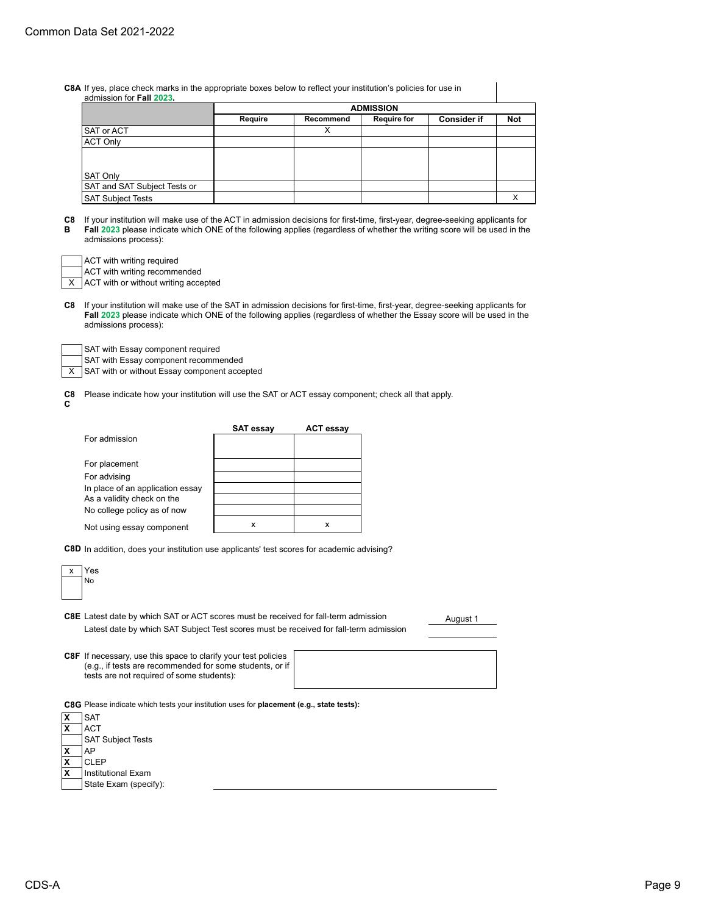**C8A** If yes, place check marks in the appropriate boxes below to reflect your institution's policies for use in admission for **Fall 2023.**

|                              |         |           | <b>ADMISSION</b>   |                    |            |
|------------------------------|---------|-----------|--------------------|--------------------|------------|
|                              | Require | Recommend | <b>Require for</b> | <b>Consider if</b> | <b>Not</b> |
| <b>SAT or ACT</b>            |         | ∧         |                    |                    |            |
| <b>ACT Only</b>              |         |           |                    |                    |            |
|                              |         |           |                    |                    |            |
| <b>SAT Only</b>              |         |           |                    |                    |            |
| SAT and SAT Subject Tests or |         |           |                    |                    |            |
| <b>SAT Subject Tests</b>     |         |           |                    |                    |            |

**C8** If your institution will make use of the ACT in admission decisions for first-time, first-year, degree-seeking applicants for **B Fall 2023** please indicate which ONE of the following applies (regardless of whether the writing score will be used in the admissions process):

| ACT with writing required                |
|------------------------------------------|
| ACT with writing recommended             |
| $X$ ACT with or without writing accepted |

| C8 If your institution will make use of the SAT in admission decisions for first-time, first-year, degree-seeking applicants for |
|----------------------------------------------------------------------------------------------------------------------------------|
| Fall 2023 please indicate which ONE of the following applies (regardless of whether the Essay score will be used in the          |
| admissions process):                                                                                                             |

| SAT with Essay component required              |
|------------------------------------------------|
| SAT with Essay component recommended           |
| X SAT with or without Essay component accepted |

**C8** Please indicate how your institution will use the SAT or ACT essay component; check all that apply.

|                                  | <b>SAT essay</b> | <b>ACT essay</b> |
|----------------------------------|------------------|------------------|
| For admission                    |                  |                  |
| For placement                    |                  |                  |
| For advising                     |                  |                  |
| In place of an application essay |                  |                  |
| As a validity check on the       |                  |                  |
| No college policy as of now      |                  |                  |
| Not using essay component        | x                | x                |

**C8D** In addition, does your institution use applicants' test scores for academic advising?

| х | Yes                                                                                                                                                                                             |
|---|-------------------------------------------------------------------------------------------------------------------------------------------------------------------------------------------------|
|   | No                                                                                                                                                                                              |
|   |                                                                                                                                                                                                 |
|   | <b>C8E</b> Latest date by which SAT or ACT scores must be received for fall-term admission<br>August 1<br>Latest date by which SAT Subject Test scores must be received for fall-term admission |
|   | <b>C8F</b> If necessary, use this space to clarify your test policies<br>(e.g., if tests are recommended for some students, or if<br>tests are not required of some students):                  |
|   | C8G Please indicate which tests your institution uses for placement (e.g., state tests):                                                                                                        |
| X | <b>SAT</b>                                                                                                                                                                                      |
| X | <b>ACT</b>                                                                                                                                                                                      |
|   | <b>SAT Subject Tests</b>                                                                                                                                                                        |
| x | AP                                                                                                                                                                                              |
| X | <b>CLEP</b>                                                                                                                                                                                     |
| x | Institutional Exam                                                                                                                                                                              |
|   | State Exam (specify):                                                                                                                                                                           |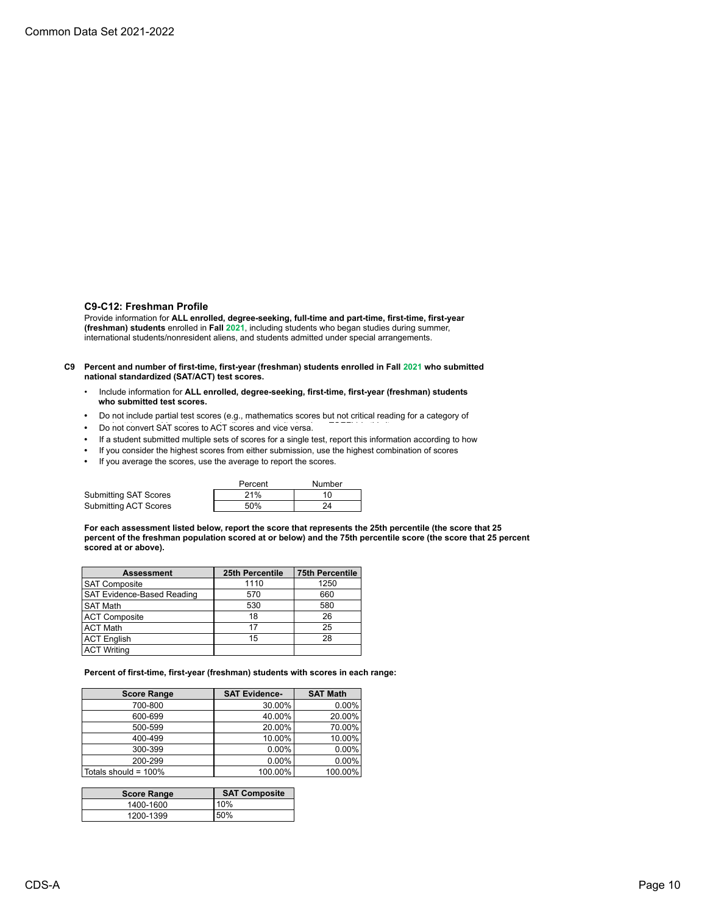# **C9-C12: Freshman Profile**

Provide information for **ALL enrolled, degree-seeking, full-time and part-time, first-time, first-year (freshman) students** enrolled in **Fall 2021**, including students who began studies during summer, international students/nonresident aliens, and students admitted under special arrangements.

- **C9 Percent and number of first-time, first-year (freshman) students enrolled in Fall 2021 who submitted national standardized (SAT/ACT) test scores.**
	- Include information for **ALL enrolled, degree-seeking, first-time, first-year (freshman) students who submitted test scores.**
	- Do not include partial test scores (e.g., mathematics scores but not critical reading for a category of
	- Do not convert SAT scores to ACT scores and vice versa.
	- If a student submitted multiple sets of scores for a single test, report this information according to how
	- If you consider the highest scores from either submission, use the highest combination of scores
	- If you average the scores, use the average to report the scores.

|                       | Percent | Number |
|-----------------------|---------|--------|
| Submitting SAT Scores | 21%     |        |
| Submitting ACT Scores | 50%     | 24     |

**For each assessment listed below, report the score that represents the 25th percentile (the score that 25 percent of the freshman population scored at or below) and the 75th percentile score (the score that 25 percent scored at or above).**

| <b>Assessment</b>          | 25th Percentile | <b>75th Percentile</b> |
|----------------------------|-----------------|------------------------|
| <b>SAT Composite</b>       | 1110            | 1250                   |
| SAT Evidence-Based Reading | 570             | 660                    |
| <b>SAT Math</b>            | 530             | 580                    |
| <b>ACT Composite</b>       | 18              | 26                     |
| <b>ACT Math</b>            | 17              | 25                     |
| <b>ACT English</b>         | 15              | 28                     |
| <b>ACT Writing</b>         |                 |                        |

**Percent of first-time, first-year (freshman) students with scores in each range:**

| <b>Score Range</b>   | <b>SAT Evidence-</b> | <b>SAT Math</b> |
|----------------------|----------------------|-----------------|
| 700-800              | 30.00%               | $0.00\%$        |
| 600-699              | 40.00%               | 20.00%          |
| 500-599              | 20.00%               | 70.00%          |
| 400-499              | 10.00%               | 10.00%          |
| 300-399              | $0.00\%$             | $0.00\%$        |
| 200-299              | $0.00\%$             | $0.00\%$        |
| Totals should = 100% | 100.00%              | 100.00%         |

| <b>Score Range</b> | <b>SAT Composite</b> |
|--------------------|----------------------|
| 1400-1600          | 10%                  |
| 1200-1399          | 50%                  |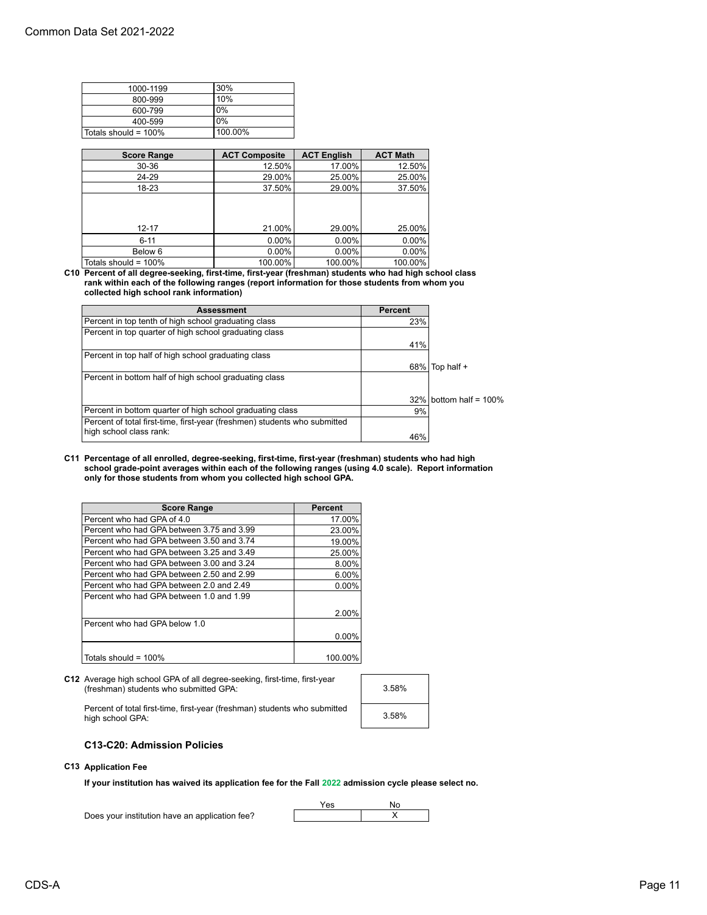| 1000-1199               | 30%     |
|-------------------------|---------|
| 800-999                 | 10%     |
| 600-799                 | 0%      |
| 400-599                 | 0%      |
| Totals should = $100\%$ | 100.00% |

| <b>Score Range</b>   | <b>ACT Composite</b> | <b>ACT English</b> | <b>ACT Math</b> |
|----------------------|----------------------|--------------------|-----------------|
| 30-36                | 12.50%               | 17.00%             | 12.50%          |
| 24-29                | 29.00%               | 25.00%             | 25.00%          |
| 18-23                | 37.50%               | 29.00%             | 37.50%          |
|                      |                      |                    |                 |
| $12 - 17$            | 21.00%               | 29.00%             | 25.00%          |
| $6 - 11$             | $0.00\%$             | $0.00\%$           | $0.00\%$        |
| Below 6              | $0.00\%$             | 0.00%              | $0.00\%$        |
| Totals should = 100% | 100.00%              | 100.00%            | 100.00%         |

**C10 Percent of all degree-seeking, first-time, first-year (freshman) students who had high school class rank within each of the following ranges (report information for those students from whom you collected high school rank information)**

| <b>Assessment</b>                                                                                    | <b>Percent</b> |                           |
|------------------------------------------------------------------------------------------------------|----------------|---------------------------|
| Percent in top tenth of high school graduating class                                                 | 23%            |                           |
| Percent in top quarter of high school graduating class                                               |                |                           |
|                                                                                                      | 41%            |                           |
| Percent in top half of high school graduating class                                                  |                |                           |
|                                                                                                      |                | $68\%$ Top half +         |
| Percent in bottom half of high school graduating class                                               |                |                           |
|                                                                                                      |                | $32\%$ bottom half = 100% |
| Percent in bottom quarter of high school graduating class                                            | 9%             |                           |
| Percent of total first-time, first-year (freshmen) students who submitted<br>high school class rank: | 46%            |                           |

#### **C11 Percentage of all enrolled, degree-seeking, first-time, first-year (freshman) students who had high school grade-point averages within each of the following ranges (using 4.0 scale). Report information only for those students from whom you collected high school GPA.**

| <b>Score Range</b>                        | <b>Percent</b> |
|-------------------------------------------|----------------|
| Percent who had GPA of 4.0                | 17.00%         |
| Percent who had GPA between 3.75 and 3.99 | 23.00%         |
| Percent who had GPA between 3.50 and 3.74 | 19.00%         |
| Percent who had GPA between 3.25 and 3.49 | 25.00%         |
| Percent who had GPA between 3.00 and 3.24 | 8.00%          |
| Percent who had GPA between 2.50 and 2.99 | 6.00%          |
| Percent who had GPA between 2.0 and 2.49  | $0.00\%$       |
| Percent who had GPA between 1.0 and 1.99  |                |
|                                           | 2.00%          |
| Percent who had GPA below 1.0             |                |
|                                           | 0.00%          |
| Totals should = 100%                      | 100.00%        |

**C12** Average high school GPA of all degree-seeking, first-time, first-year (freshman) students who submitted GPA: 3.58%

Percent of total first-time, first-year (freshman) students who submitted high school GPA: 3.58%



# **C13-C20: Admission Policies**

## **C13 Application Fee**

**If your institution has waived its application fee for the Fall 2022 admission cycle please select no.**

Does your institution have an application fee?

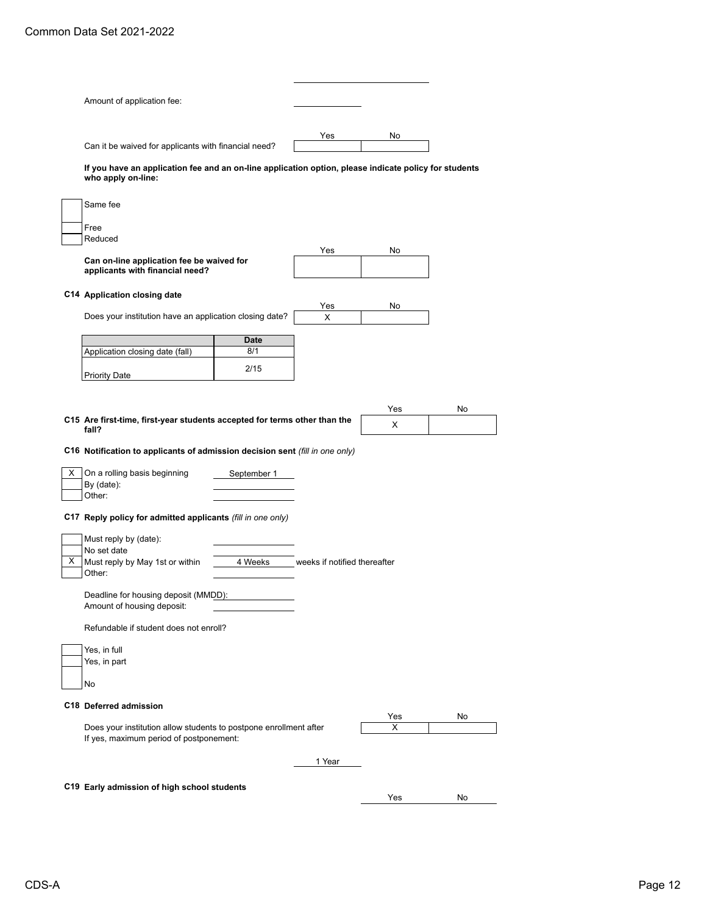| Amount of application fee:                                                                                                                                                                                                                                            |             |                              |          |    |
|-----------------------------------------------------------------------------------------------------------------------------------------------------------------------------------------------------------------------------------------------------------------------|-------------|------------------------------|----------|----|
|                                                                                                                                                                                                                                                                       |             | Yes                          | No       |    |
| Can it be waived for applicants with financial need?<br>If you have an application fee and an on-line application option, please indicate policy for students                                                                                                         |             |                              |          |    |
| who apply on-line:                                                                                                                                                                                                                                                    |             |                              |          |    |
| Same fee                                                                                                                                                                                                                                                              |             |                              |          |    |
| Free                                                                                                                                                                                                                                                                  |             |                              |          |    |
| Reduced                                                                                                                                                                                                                                                               |             |                              |          |    |
| Can on-line application fee be waived for<br>applicants with financial need?                                                                                                                                                                                          |             | Yes                          | No       |    |
| C14 Application closing date                                                                                                                                                                                                                                          |             |                              |          |    |
| Does your institution have an application closing date?                                                                                                                                                                                                               |             | Yes                          | No       |    |
|                                                                                                                                                                                                                                                                       |             | X                            |          |    |
|                                                                                                                                                                                                                                                                       | Date        |                              |          |    |
| Application closing date (fall)                                                                                                                                                                                                                                       | 8/1         |                              |          |    |
| <b>Priority Date</b>                                                                                                                                                                                                                                                  | 2/15        |                              |          |    |
| fall?                                                                                                                                                                                                                                                                 |             |                              | Yes<br>X | No |
| On a rolling basis beginning<br>By (date):<br>Other:                                                                                                                                                                                                                  | September 1 |                              |          |    |
|                                                                                                                                                                                                                                                                       |             |                              |          |    |
| C15 Are first-time, first-year students accepted for terms other than the<br>C16 Notification to applicants of admission decision sent (fill in one only)<br>X<br>C17 Reply policy for admitted applicants (fill in one only)<br>Must reply by (date):<br>No set date |             |                              |          |    |
| Must reply by May 1st or within<br>Other:                                                                                                                                                                                                                             | 4 Weeks     | weeks if notified thereafter |          |    |
| Deadline for housing deposit (MMDD):<br>Amount of housing deposit:                                                                                                                                                                                                    |             |                              |          |    |
| Refundable if student does not enroll?                                                                                                                                                                                                                                |             |                              |          |    |
| Yes, in full<br>Yes, in part                                                                                                                                                                                                                                          |             |                              |          |    |
| No                                                                                                                                                                                                                                                                    |             |                              |          |    |
|                                                                                                                                                                                                                                                                       |             |                              |          |    |
| Does your institution allow students to postpone enrollment after                                                                                                                                                                                                     |             |                              | Yes<br>x | No |
| X<br>C18 Deferred admission<br>If yes, maximum period of postponement:                                                                                                                                                                                                |             | 1 Year                       |          |    |
| C19 Early admission of high school students                                                                                                                                                                                                                           |             |                              |          |    |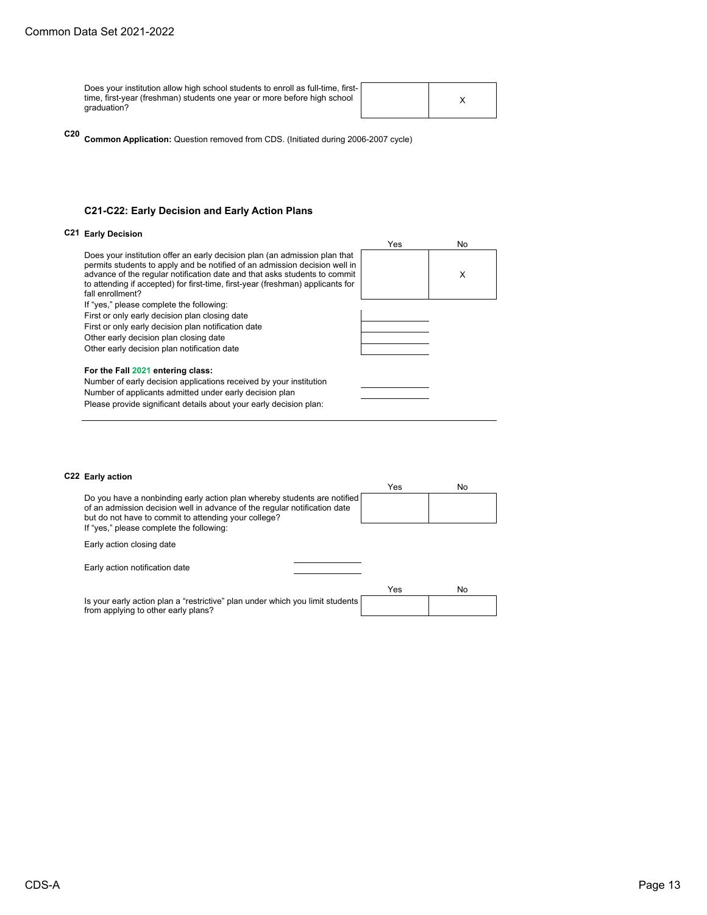Does your institution allow high school students to enroll as full-time, firsttime, first-year (freshman) students one year or more before high school graduation?

**C20 Common Application:** Question removed from CDS. (Initiated during 2006-2007 cycle)

# **C21-C22: Early Decision and Early Action Plans**

# **C21 Early Decision**

|                                                                                                                                                                                                                                                                                                                                             | Yes | No |
|---------------------------------------------------------------------------------------------------------------------------------------------------------------------------------------------------------------------------------------------------------------------------------------------------------------------------------------------|-----|----|
| Does your institution offer an early decision plan (an admission plan that<br>permits students to apply and be notified of an admission decision well in<br>advance of the regular notification date and that asks students to commit<br>to attending if accepted) for first-time, first-year (freshman) applicants for<br>fall enrollment? |     | X  |
| If "yes," please complete the following:                                                                                                                                                                                                                                                                                                    |     |    |
| First or only early decision plan closing date                                                                                                                                                                                                                                                                                              |     |    |
| First or only early decision plan notification date                                                                                                                                                                                                                                                                                         |     |    |
| Other early decision plan closing date                                                                                                                                                                                                                                                                                                      |     |    |
| Other early decision plan notification date                                                                                                                                                                                                                                                                                                 |     |    |
| For the Fall 2021 entering class:<br>Number of early decision applications received by your institution<br>Number of applicants admitted under early decision plan<br>Please provide significant details about your early decision plan:                                                                                                    |     |    |

# **C22 Early action**

|                                                                                                                                                                                                                                                           | Yes | No |
|-----------------------------------------------------------------------------------------------------------------------------------------------------------------------------------------------------------------------------------------------------------|-----|----|
| Do you have a nonbinding early action plan whereby students are notified<br>of an admission decision well in advance of the regular notification date<br>but do not have to commit to attending your college?<br>If "yes," please complete the following: |     |    |
|                                                                                                                                                                                                                                                           |     |    |
| Early action closing date                                                                                                                                                                                                                                 |     |    |
| Early action notification date                                                                                                                                                                                                                            |     |    |
|                                                                                                                                                                                                                                                           | Yes | No |
| Is your early action plan a "restrictive" plan under which you limit students<br>from applying to other early plans?                                                                                                                                      |     |    |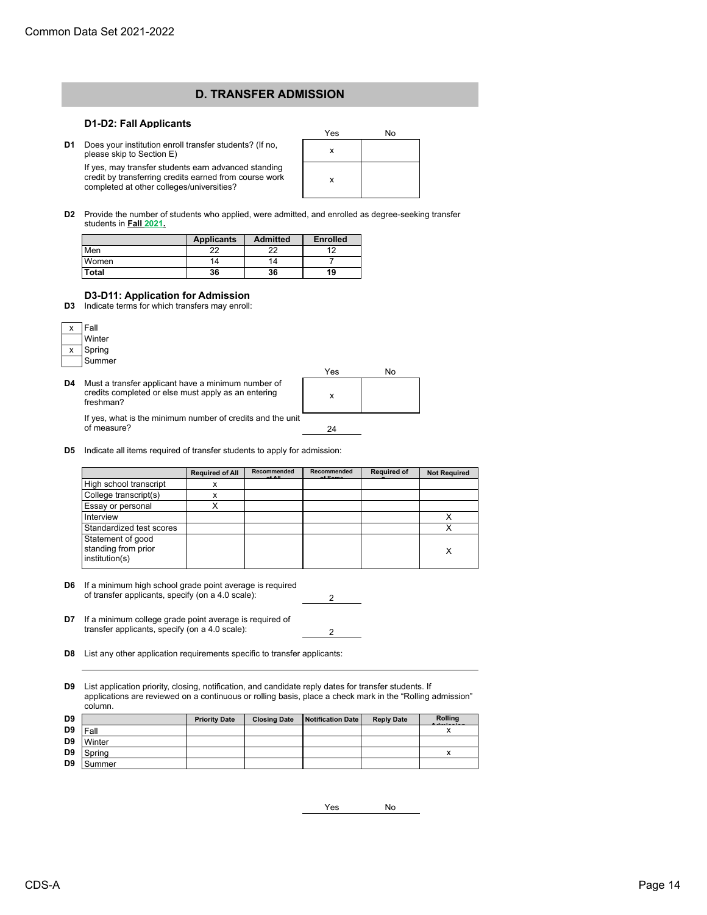# **D. TRANSFER ADMISSION**

### **D1-D2: Fall Applicants**

- Yes No **D1** Does your institution enroll transfer students? (If no, please skip to Section E) x If yes, may transfer students earn advanced standing credit by transferring credits earned from course work completed at other colleges/universities? x
- **D2** Provide the number of students who applied, were admitted, and enrolled as degree-seeking transfer students in **Fall 2021.**

|       | <b>Applicants</b> | <b>Admitted</b> | <b>Enrolled</b> |
|-------|-------------------|-----------------|-----------------|
| Men   | 22                | 22              |                 |
| Women | 14                | 14              |                 |
| Total | 36                | 36              | 19              |

# **D3-D11: Application for Admission**

**D3** Indicate terms for which transfers may enroll:

| Fall   |
|--------|
| Winter |
| Spring |
| Summer |

|    |                                                                                                                        | Yes | No |
|----|------------------------------------------------------------------------------------------------------------------------|-----|----|
| D4 | Must a transfer applicant have a minimum number of<br>credits completed or else must apply as an entering<br>freshman? | x   |    |
|    | If yes, what is the minimum number of credits and the unit<br>of measure?                                              | 24  |    |

**D5** Indicate all items required of transfer students to apply for admission:

|                                                            | <b>Required of All</b> | Recommended<br>of All | Recommended<br>of Some | <b>Required of</b> | <b>Not Required</b> |
|------------------------------------------------------------|------------------------|-----------------------|------------------------|--------------------|---------------------|
| High school transcript                                     | х                      |                       |                        |                    |                     |
| College transcript(s)                                      | x                      |                       |                        |                    |                     |
| Essay or personal                                          |                        |                       |                        |                    |                     |
| Interview                                                  |                        |                       |                        |                    |                     |
| Standardized test scores                                   |                        |                       |                        |                    |                     |
| Statement of good<br>standing from prior<br>institution(s) |                        |                       |                        |                    |                     |

**D6** If a minimum high school grade point average is required of transfer applicants, specify (on a 4.0 scale): 2

**D7** If a minimum college grade point average is required of transfer applicants, specify (on a 4.0 scale): 2

**D8** List any other application requirements specific to transfer applicants:

**D9** List application priority, closing, notification, and candidate reply dates for transfer students. If applications are reviewed on a continuous or rolling basis, place a check mark in the "Rolling admission"

|                | . .<br><br>column. |                      |                     | . .                      |                   |                                        |
|----------------|--------------------|----------------------|---------------------|--------------------------|-------------------|----------------------------------------|
| D9             |                    | <b>Priority Date</b> | <b>Closing Date</b> | <b>Notification Date</b> | <b>Reply Date</b> | Rolling<br>$\sim$ $\sim$ $\sim$ $\sim$ |
| D <sub>9</sub> | Fall               |                      |                     |                          |                   | $\overline{\phantom{a}}$<br>ᄉ          |
| D9             | Winter             |                      |                     |                          |                   |                                        |
| D9             | Spring             |                      |                     |                          |                   | $\mathbf{v}$<br>х                      |
| D9             | Summer             |                      |                     |                          |                   |                                        |

Yes No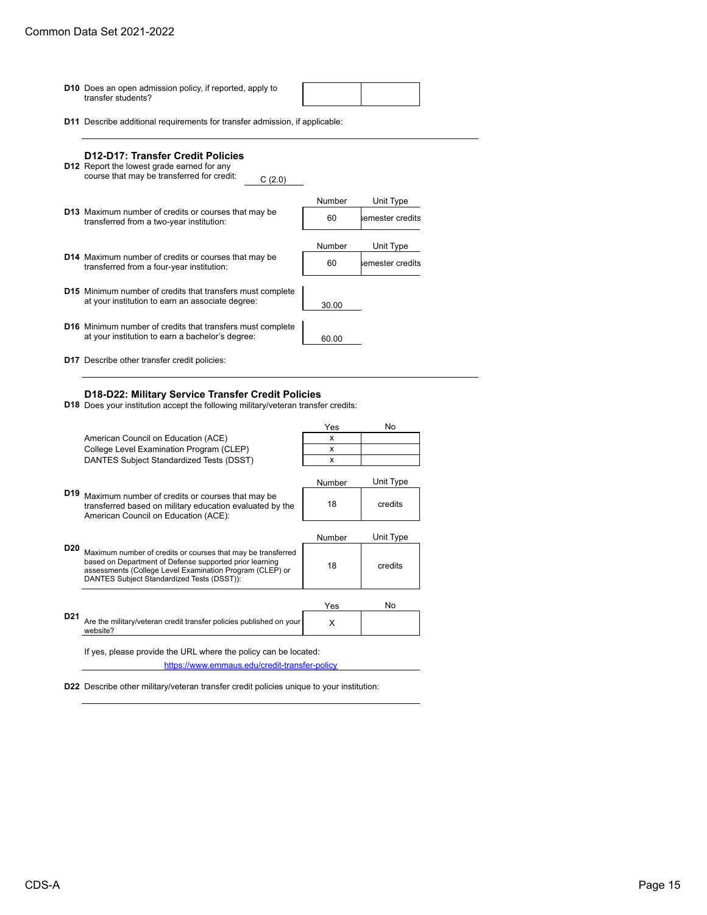# Common Data Set 2021-2022

| transfer students?<br><b>D11</b> Describe additional requirements for transfer admission, if applicable:                                      |  |
|-----------------------------------------------------------------------------------------------------------------------------------------------|--|
| D12-D17: Transfer Credit Policies<br><b>D12</b> Report the lowest grade earned for any<br>course that may be transferred for credit:<br>(2.0) |  |

Number Unit Type

Number Unit Type

- **D13** Maximum number of credits or courses that may be Maximum number of credits of courses that may be  $\begin{array}{|l|l|} \hline 60\end{array}$  emester credits
- **D14** Maximum number of credits or courses that may be transferred from a four-year institution: 60 60 semester credits
- **D15** Minimum number of credits that transfers must complete at your institution to earn an associate degree: 30.00
- **D16** Minimum number of credits that transfers must complete at your institution to earn a bachelor's degree: 60.00

**D17** Describe other transfer credit policies:

# **D18-D22: Military Service Transfer Credit Policies**

**D18** Does your institution accept the following military/veteran transfer credits:

|                 |                                                                                                                                                                                                                                   | Yes    | No        |
|-----------------|-----------------------------------------------------------------------------------------------------------------------------------------------------------------------------------------------------------------------------------|--------|-----------|
|                 | American Council on Education (ACE)                                                                                                                                                                                               | x      |           |
|                 | College Level Examination Program (CLEP)                                                                                                                                                                                          | x      |           |
|                 | DANTES Subject Standardized Tests (DSST)                                                                                                                                                                                          | x      |           |
|                 |                                                                                                                                                                                                                                   | Number | Unit Type |
| D19             | Maximum number of credits or courses that may be<br>transferred based on military education evaluated by the<br>American Council on Education (ACE):                                                                              | 18     | credits   |
|                 |                                                                                                                                                                                                                                   | Number | Unit Type |
| D <sub>20</sub> | Maximum number of credits or courses that may be transferred<br>based on Department of Defense supported prior learning<br>assessments (College Level Examination Program (CLEP) or<br>DANTES Subject Standardized Tests (DSST)): | 18     | credits   |
|                 |                                                                                                                                                                                                                                   | Yes    | No        |
| D <sub>21</sub> | Are the military/veteran credit transfer policies published on your<br>website?                                                                                                                                                   | X      |           |
|                 | If yes, please provide the URL where the policy can be located:                                                                                                                                                                   |        |           |
|                 | https://www.emmaus.edu/credit-transfer-policy                                                                                                                                                                                     |        |           |

**D22** Describe other military/veteran transfer credit policies unique to your institution: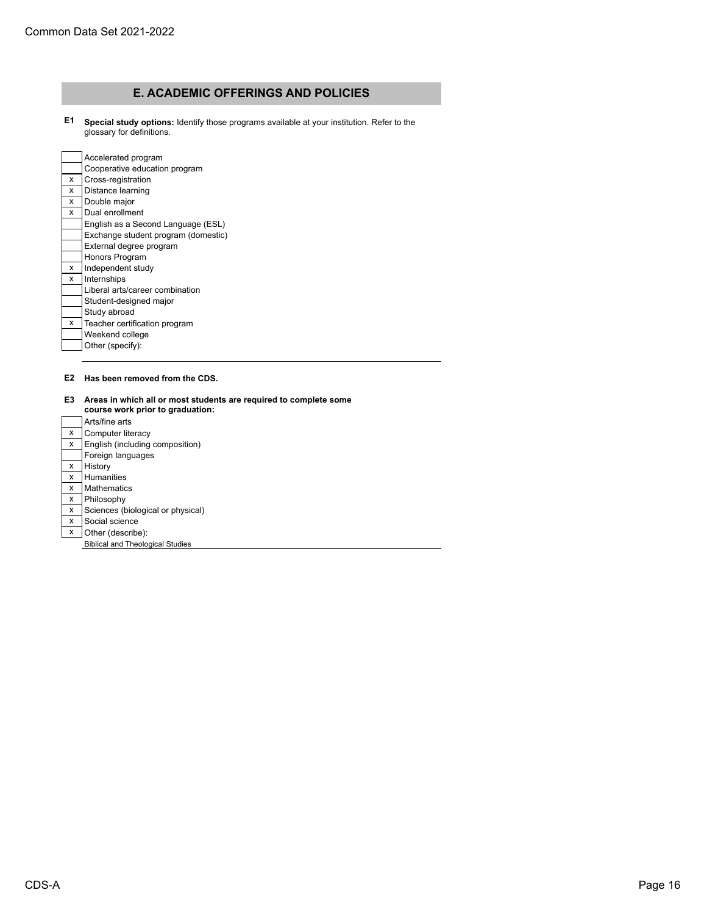# **E. ACADEMIC OFFERINGS AND POLICIES**

**E1 Special study options:** Identify those programs available at your institution. Refer to the glossary for definitions.

|   | Accelerated program                 |
|---|-------------------------------------|
|   | Cooperative education program       |
| x | Cross-registration                  |
| x | Distance learning                   |
| x | Double major                        |
| x | Dual enrollment                     |
|   | English as a Second Language (ESL)  |
|   | Exchange student program (domestic) |
|   | External degree program             |
|   | Honors Program                      |
| x | Independent study                   |
| x | Internships                         |
|   | Liberal arts/career combination     |
|   | Student-designed major              |
|   | Study abroad                        |
| x | Teacher certification program       |
|   | Weekend college                     |
|   | Other (specify):                    |

#### **E2 Has been removed from the CDS.**

**E3 Areas in which all or most students are required to complete some course work prior to graduation:**

|   | Arts/fine arts                          |
|---|-----------------------------------------|
| x | Computer literacy                       |
| x | English (including composition)         |
|   | Foreign languages                       |
| x | History                                 |
| x | Humanities                              |
| x | Mathematics                             |
| x | Philosophy                              |
| x | Sciences (biological or physical)       |
| x | Social science                          |
| x | Other (describe):                       |
|   | <b>Biblical and Theological Studies</b> |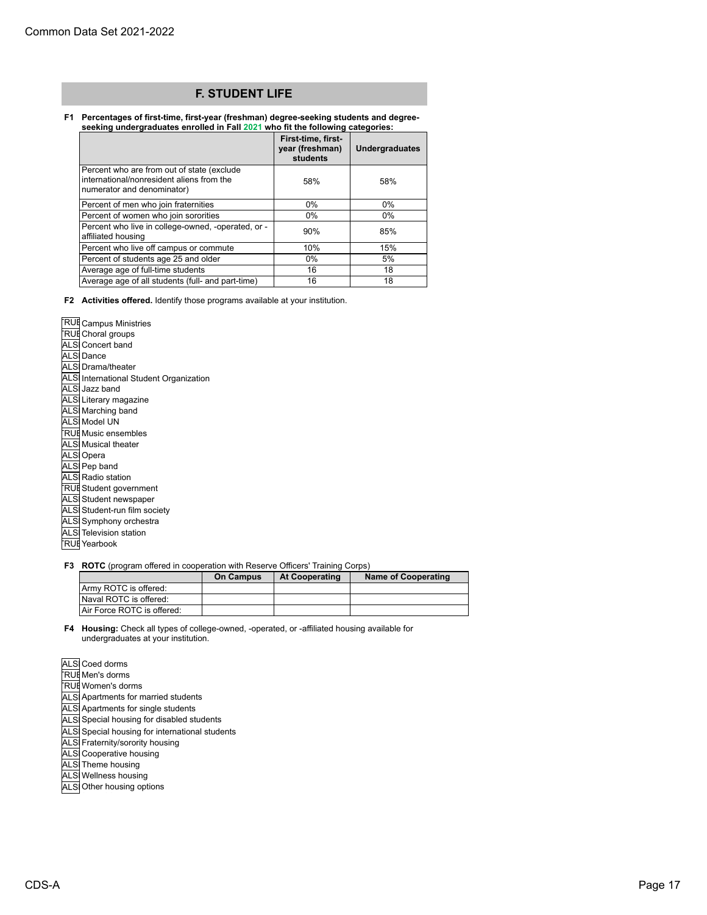# **F. STUDENT LIFE**

#### **F1 Percentages of first-time, first-year (freshman) degree-seeking students and degreeseeking undergraduates enrolled in Fall 2021 who fit the following categories:**

| <u>oodinig anadigraaaatoo din dhoa in Familisho in tiro iyo londinig datugundor</u>                                    |                                                   |                       |  |  |
|------------------------------------------------------------------------------------------------------------------------|---------------------------------------------------|-----------------------|--|--|
|                                                                                                                        | First-time, first-<br>year (freshman)<br>students | <b>Undergraduates</b> |  |  |
| Percent who are from out of state (exclude)<br>international/nonresident aliens from the<br>numerator and denominator) | 58%                                               | 58%                   |  |  |
| Percent of men who join fraternities                                                                                   | 0%                                                | 0%                    |  |  |
| Percent of women who join sororities                                                                                   | 0%                                                | $0\%$                 |  |  |
| Percent who live in college-owned, -operated, or -<br>affiliated housing                                               | 90%                                               | 85%                   |  |  |
| Percent who live off campus or commute                                                                                 | 10%                                               | 15%                   |  |  |
| Percent of students age 25 and older                                                                                   | 0%                                                | 5%                    |  |  |
| Average age of full-time students                                                                                      | 16                                                | 18                    |  |  |
| Average age of all students (full- and part-time)                                                                      | 16                                                | 18                    |  |  |

**F2 Activities offered.** Identify those programs available at your institution.

**RUE Campus Ministries RUE Choral groups** ALS Concert band **ALS** Dance ALSI Drama/theater **ALS** International Student Organization ALS Jazz band ALS Literary magazine ALS Marching band ALS| Model UN **RUE Music ensembles** ALS Musical theater ALSI Opera **ALS** Pep band ALS Radio station **RUE** Student government ALSI Student newspaper ALS Student-run film society ALS Symphony orchestra ALS Television station **RUE** Yearbook

**F3 ROTC** (program offered in cooperation with Reserve Officers' Training Corps)

|                            | <b>On Campus</b> | <b>At Cooperating</b> | Name of Cooperating |
|----------------------------|------------------|-----------------------|---------------------|
| Army ROTC is offered:      |                  |                       |                     |
| Naval ROTC is offered:     |                  |                       |                     |
| Air Force ROTC is offered: |                  |                       |                     |

**F4 Housing:** Check all types of college-owned, -operated, or -affiliated housing available for undergraduates at your institution.

- ALSI Coed dorms **RUE** Men's dorms **RUE** Women's dorms ALS Apartments for married students
- ALS Apartments for single students
- ALS Special housing for disabled students
- ALS Special housing for international students
- ALS Fraternity/sorority housing
- ALS Cooperative housing
- ALS Theme housing
- **ALS** Wellness housing
- ALS Other housing options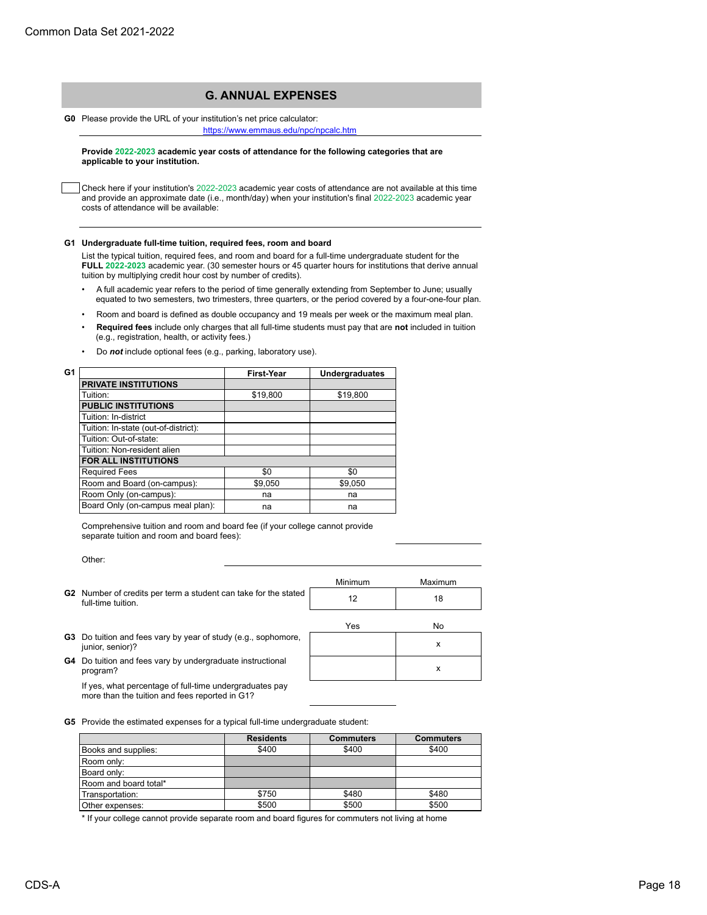# **G. ANNUAL EXPENSES**

**G0** Please provide the URL of your institution's net price calculator:

#### <https://www.emmaus.edu/npc/npcalc.htm>

**Provide 2022-2023 academic year costs of attendance for the following categories that are applicable to your institution.**

Check here if your institution's 2022-2023 academic year costs of attendance are not available at this time and provide an approximate date (i.e., month/day) when your institution's final 2022-2023 academic year costs of attendance will be available:

#### **G1 Undergraduate full-time tuition, required fees, room and board**

List the typical tuition, required fees, and room and board for a full-time undergraduate student for the **FULL 2022-2023** academic year. (30 semester hours or 45 quarter hours for institutions that derive annual tuition by multiplying credit hour cost by number of credits).

- •A full academic year refers to the period of time generally extending from September to June; usually equated to two semesters, two trimesters, three quarters, or the period covered by a four-one-four plan.
- Room and board is defined as double occupancy and 19 meals per week or the maximum meal plan.
- • **Required fees** include only charges that all full-time students must pay that are **not** included in tuition (e.g., registration, health, or activity fees.)
- Do *not* include optional fees (e.g., parking, laboratory use).

|                                      | <b>First-Year</b> | <b>Undergraduates</b> |
|--------------------------------------|-------------------|-----------------------|
| <b>PRIVATE INSTITUTIONS</b>          |                   |                       |
| Tuition:                             | \$19,800          | \$19,800              |
| <b>PUBLIC INSTITUTIONS</b>           |                   |                       |
| Tuition: In-district                 |                   |                       |
| Tuition: In-state (out-of-district): |                   |                       |
| Tuition: Out-of-state:               |                   |                       |
| Tuition: Non-resident alien          |                   |                       |
| <b>FOR ALL INSTITUTIONS</b>          |                   |                       |
| <b>Required Fees</b>                 | \$0               | \$0                   |
| Room and Board (on-campus):          | \$9.050           | \$9,050               |
| Room Only (on-campus):               | na                | na                    |
| Board Only (on-campus meal plan):    | na                | na                    |

Comprehensive tuition and room and board fee (if your college cannot provide separate tuition and room and board fees):

Other:

|                                                                                           | Minimum | Maximum |
|-------------------------------------------------------------------------------------------|---------|---------|
| G2 Number of credits per term a student can take for the stated<br>full-time tuition.     | 12      | 18      |
|                                                                                           | Yes     | No      |
| <b>G3</b> Do tuition and fees vary by year of study (e.g., sophomore,<br>junior, senior)? |         | х       |
| G4 Do tuition and fees vary by undergraduate instructional<br>program?                    |         | x       |
|                                                                                           |         |         |

If yes, what percentage of full-time undergraduates pay more than the tuition and fees reported in G1?

| <b>G5</b> Provide the estimated expenses for a typical full-time undergraduate student: |
|-----------------------------------------------------------------------------------------|
|                                                                                         |

|                       | <b>Residents</b> | <b>Commuters</b> | <b>Commuters</b> |
|-----------------------|------------------|------------------|------------------|
| Books and supplies:   | \$400            | \$400            | \$400            |
| Room only:            |                  |                  |                  |
| Board only:           |                  |                  |                  |
| Room and board total* |                  |                  |                  |
| Transportation:       | \$750            | \$480            | \$480            |
| Other expenses:       | \$500            | \$500            | \$500            |

\* If your college cannot provide separate room and board figures for commuters not living at home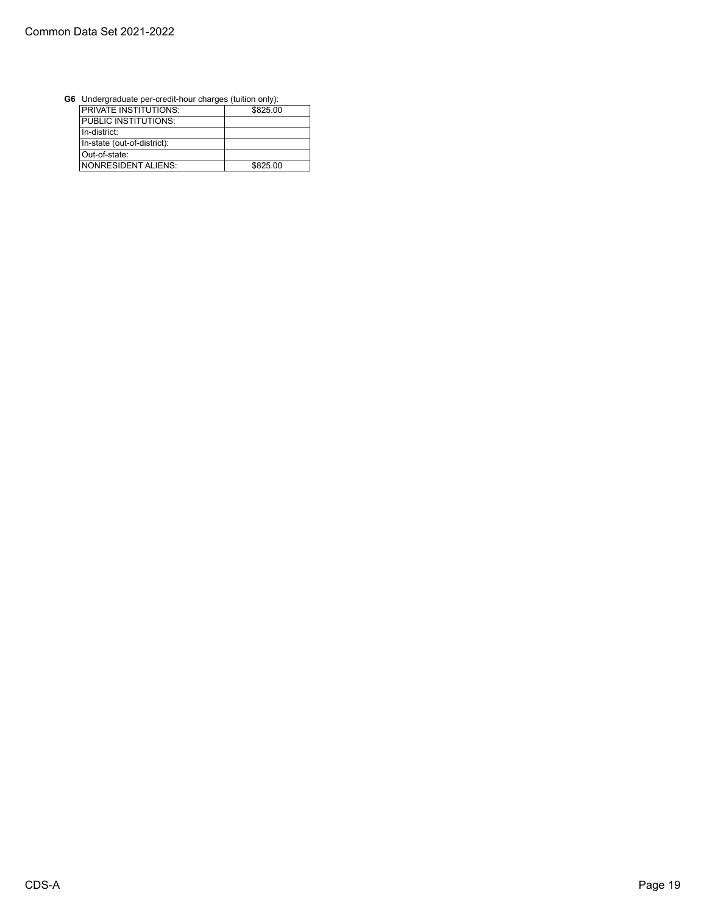| $\frac{1}{2}$ . The state of the state is a strong state of the state of $\frac{1}{2}$ |          |
|----------------------------------------------------------------------------------------|----------|
| <b>PRIVATE INSTITUTIONS:</b>                                                           | \$825.00 |
| PUBLIC INSTITUTIONS:                                                                   |          |
| l In-district:                                                                         |          |
| In-state (out-of-district):                                                            |          |
| Out-of-state:                                                                          |          |
| <b>INONRESIDENT ALIENS:</b>                                                            | \$825.00 |

**G6** Undergraduate per-credit-hour charges (tuition only):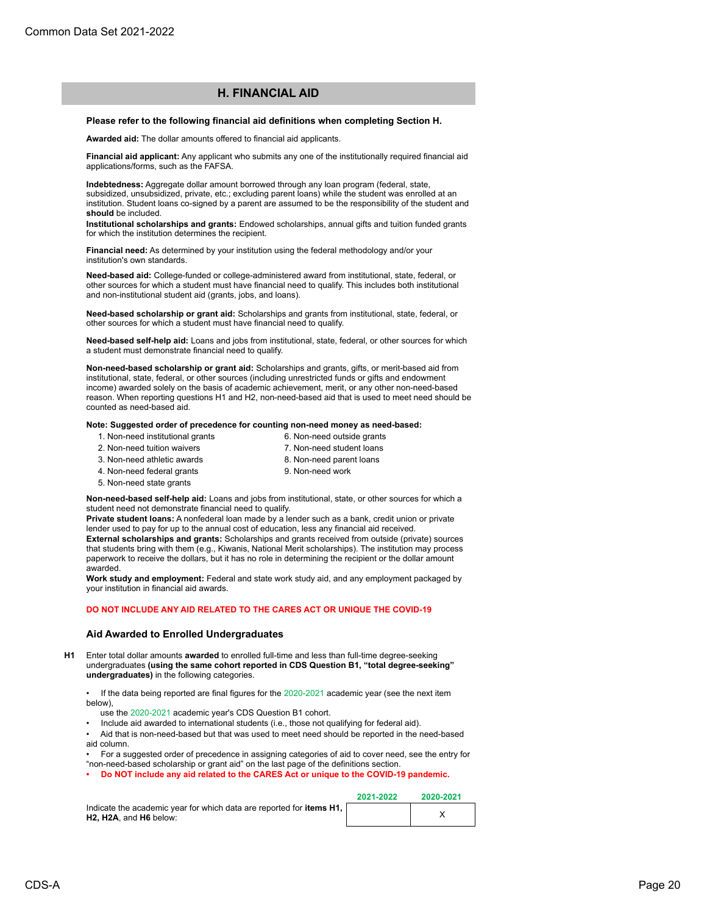# **H. FINANCIAL AID**

#### **Please refer to the following financial aid definitions when completing Section H.**

**Awarded aid:** The dollar amounts offered to financial aid applicants.

**Financial aid applicant:** Any applicant who submits any one of the institutionally required financial aid applications/forms, such as the FAFSA.

**Indebtedness:** Aggregate dollar amount borrowed through any loan program (federal, state, subsidized, unsubsidized, private, etc.; excluding parent loans) while the student was enrolled at an institution. Student loans co-signed by a parent are assumed to be the responsibility of the student and **should** be included.

**Institutional scholarships and grants:** Endowed scholarships, annual gifts and tuition funded grants for which the institution determines the recipient.

**Financial need:** As determined by your institution using the federal methodology and/or your institution's own standards.

**Need-based aid:** College-funded or college-administered award from institutional, state, federal, or other sources for which a student must have financial need to qualify. This includes both institutional and non-institutional student aid (grants, jobs, and loans).

**Need-based scholarship or grant aid:** Scholarships and grants from institutional, state, federal, or other sources for which a student must have financial need to qualify.

**Need-based self-help aid:** Loans and jobs from institutional, state, federal, or other sources for which a student must demonstrate financial need to qualify.

**Non-need-based scholarship or grant aid:** Scholarships and grants, gifts, or merit-based aid from institutional, state, federal, or other sources (including unrestricted funds or gifts and endowment income) awarded solely on the basis of academic achievement, merit, or any other non-need-based reason. When reporting questions H1 and H2, non-need-based aid that is used to meet need should be counted as need-based aid.

#### **Note: Suggested order of precedence for counting non-need money as need-based:**

- 1. Non-need institutional grants 6. Non-need outside grants
	-
- 
- 2. Non-need tuition waivers 7. Non-need student loans
- 3. Non-need athletic awards 8. Non-need parent loans
- 4. Non-need federal grants 9. Non-need work
- 5. Non-need state grants

**Non-need-based self-help aid:** Loans and jobs from institutional, state, or other sources for which a student need not demonstrate financial need to qualify.

**Private student loans:** A nonfederal loan made by a lender such as a bank, credit union or private lender used to pay for up to the annual cost of education, less any financial aid received. **External scholarships and grants:** Scholarships and grants received from outside (private) sources that students bring with them (e.g., Kiwanis, National Merit scholarships). The institution may process paperwork to receive the dollars, but it has no role in determining the recipient or the dollar amount awarded.

**Work study and employment:** Federal and state work study aid, and any employment packaged by your institution in financial aid awards.

#### **DO NOT INCLUDE ANY AID RELATED TO THE CARES ACT OR UNIQUE THE COVID-19**

### **Aid Awarded to Enrolled Undergraduates**

**H1** Enter total dollar amounts **awarded** to enrolled full-time and less than full-time degree-seeking undergraduates **(using the same cohort reported in CDS Question B1, "total degree-seeking" undergraduates)** in the following categories.

If the data being reported are final figures for the 2020-2021 academic year (see the next item below),

- use the 2020-2021 academic year's CDS Question B1 cohort.
- Include aid awarded to international students (i.e., those not qualifying for federal aid).

• Aid that is non-need-based but that was used to meet need should be reported in the need-based aid column.

• For a suggested order of precedence in assigning categories of aid to cover need, see the entry for "non-need-based scholarship or grant aid" on the last page of the definitions section.

**• Do NOT include any aid related to the CARES Act or unique to the COVID-19 pandemic.**

|                                                                              | 2021-2022 | 2020-2021 |  |
|------------------------------------------------------------------------------|-----------|-----------|--|
| Indicate the academic year for which data are reported for <b>items H1</b> , |           |           |  |
| H <sub>2</sub> . H <sub>2</sub> A, and H <sub>6</sub> below:                 |           |           |  |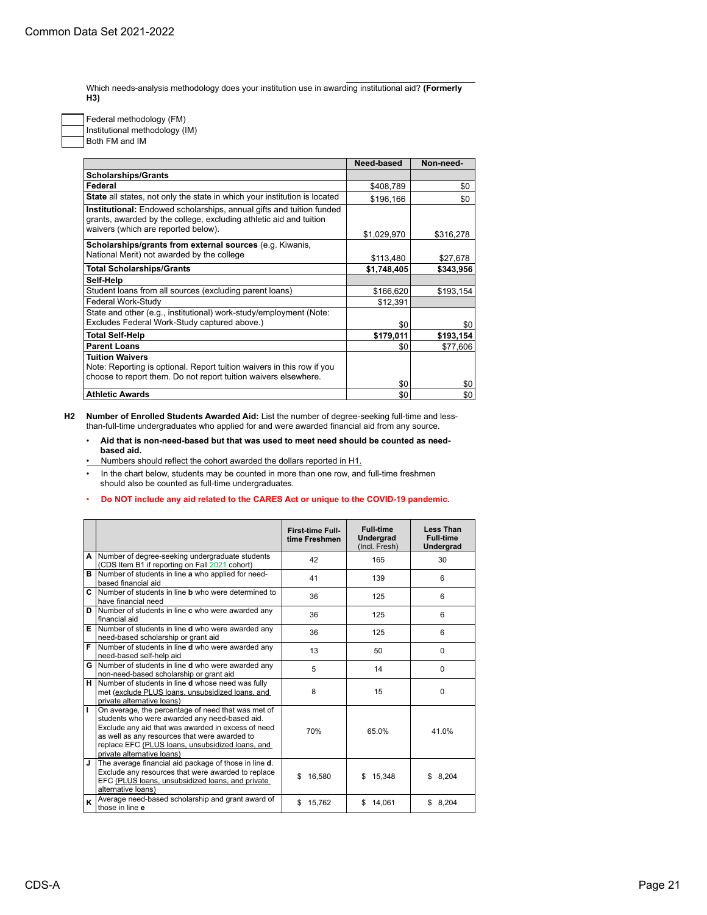Which needs-analysis methodology does your institution use in awarding institutional aid? **(Formerly H3)**

Federal methodology (FM) Institutional methodology (IM) Both FM and IM

|                                                                                                                                                                     | Need-based  | Non-need- |
|---------------------------------------------------------------------------------------------------------------------------------------------------------------------|-------------|-----------|
| <b>Scholarships/Grants</b>                                                                                                                                          |             |           |
| Federal                                                                                                                                                             | \$408,789   | \$0       |
| <b>State</b> all states, not only the state in which your institution is located                                                                                    | \$196,166   | \$0       |
| Institutional: Endowed scholarships, annual gifts and tuition funded<br>grants, awarded by the college, excluding athletic aid and tuition                          |             |           |
| waivers (which are reported below).                                                                                                                                 | \$1,029,970 | \$316,278 |
| Scholarships/grants from external sources (e.g. Kiwanis,                                                                                                            |             |           |
| National Merit) not awarded by the college                                                                                                                          | \$113,480   | \$27,678  |
| <b>Total Scholarships/Grants</b>                                                                                                                                    | \$1,748,405 | \$343,956 |
| Self-Help                                                                                                                                                           |             |           |
| Student loans from all sources (excluding parent loans)                                                                                                             | \$166,620   | \$193,154 |
| Federal Work-Study                                                                                                                                                  | \$12,391    |           |
| State and other (e.g., institutional) work-study/employment (Note:                                                                                                  |             |           |
| Excludes Federal Work-Study captured above.)                                                                                                                        | \$0         | \$0       |
| <b>Total Self-Help</b>                                                                                                                                              | \$179,011   | \$193,154 |
| <b>Parent Loans</b>                                                                                                                                                 | \$0         | \$77,606  |
| <b>Tuition Waivers</b><br>Note: Reporting is optional. Report tuition waivers in this row if you<br>choose to report them. Do not report tuition waivers elsewhere. |             |           |
|                                                                                                                                                                     | \$0         | \$0       |
| <b>Athletic Awards</b>                                                                                                                                              | \$0         | \$0       |

- **H2 Number of Enrolled Students Awarded Aid:** List the number of degree-seeking full-time and lessthan-full-time undergraduates who applied for and were awarded financial aid from any source.
	- • **Aid that is non-need-based but that was used to meet need should be counted as need based aid.**
	- Numbers should reflect the cohort awarded the dollars reported in H1.
	- In the chart below, students may be counted in more than one row, and full-time freshmen should also be counted as full-time undergraduates.

### • **Do NOT include any aid related to the CARES Act or unique to the COVID-19 pandemic.**

|    |                                                                                                                                                                                                                                                                                              | <b>First-time Full-</b><br>time Freshmen | <b>Full-time</b><br><b>Undergrad</b><br>(Incl. Fresh) | <b>Less Than</b><br>Full-time<br>Undergrad |
|----|----------------------------------------------------------------------------------------------------------------------------------------------------------------------------------------------------------------------------------------------------------------------------------------------|------------------------------------------|-------------------------------------------------------|--------------------------------------------|
| А  | Number of degree-seeking undergraduate students<br>(CDS Item B1 if reporting on Fall 2021 cohort)                                                                                                                                                                                            | 42                                       | 165                                                   | 30                                         |
| в  | Number of students in line a who applied for need-<br>based financial aid                                                                                                                                                                                                                    | 41                                       | 139                                                   | 6                                          |
| C. | Number of students in line <b>b</b> who were determined to<br>have financial need                                                                                                                                                                                                            | 36                                       | 125                                                   | 6                                          |
| D  | Number of students in line c who were awarded any<br>financial aid                                                                                                                                                                                                                           | 36                                       | 125                                                   | 6                                          |
| Е  | Number of students in line d who were awarded any<br>need-based scholarship or grant aid                                                                                                                                                                                                     | 36                                       | 125                                                   | 6                                          |
| F  | Number of students in line <b>d</b> who were awarded any<br>need-based self-help aid                                                                                                                                                                                                         | 13                                       | 50                                                    | 0                                          |
| G  | Number of students in line <b>d</b> who were awarded any<br>non-need-based scholarship or grant aid                                                                                                                                                                                          | 5                                        | 14                                                    | $\Omega$                                   |
| н  | Number of students in line d whose need was fully<br>met (exclude PLUS loans, unsubsidized loans, and<br>private alternative loans)                                                                                                                                                          | 8                                        | 15                                                    | 0                                          |
| T  | On average, the percentage of need that was met of<br>students who were awarded any need-based aid.<br>Exclude any aid that was awarded in excess of need<br>as well as any resources that were awarded to<br>replace EFC (PLUS loans, unsubsidized loans, and<br>private alternative loans) | 70%                                      | 65.0%                                                 | 41.0%                                      |
| J  | The average financial aid package of those in line d.<br>Exclude any resources that were awarded to replace<br>EFC (PLUS loans, unsubsidized loans, and private<br>alternative loans)                                                                                                        | \$<br>16.580                             | \$.<br>15,348                                         | \$8,204                                    |
| ĸ  | Average need-based scholarship and grant award of<br>those in line e                                                                                                                                                                                                                         | 15,762<br>\$                             | \$<br>14.061                                          | \$8.204                                    |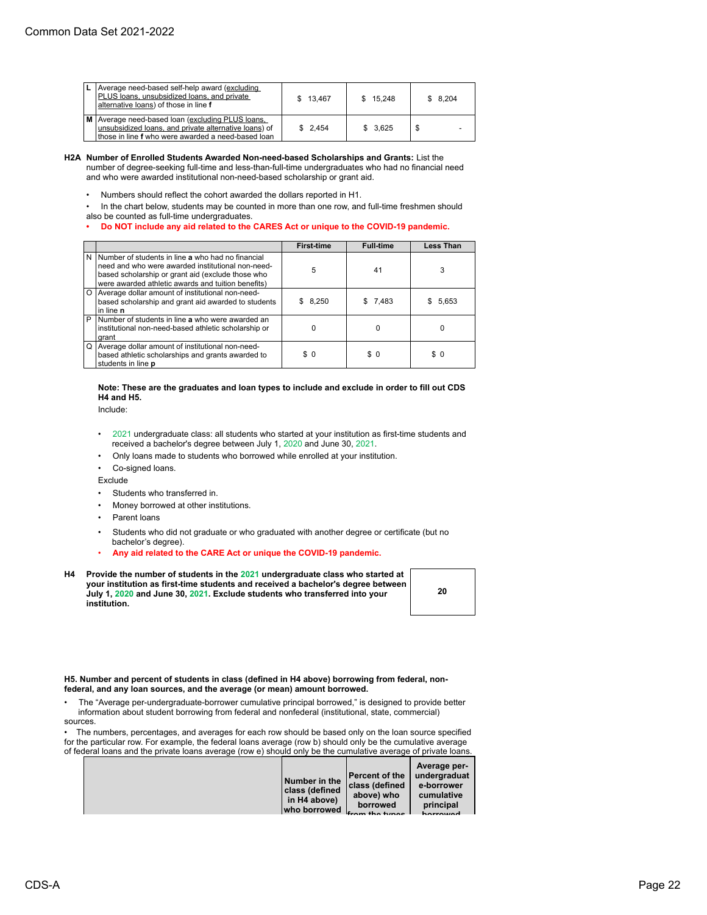| $\mathsf{L}$ | Average need-based self-help award (excluding<br>PLUS loans, unsubsidized loans, and private<br>alternative loans) of those in line f                           | \$13.467 | \$15.248 | \$8.204 |
|--------------|-----------------------------------------------------------------------------------------------------------------------------------------------------------------|----------|----------|---------|
|              | M Average need-based loan (excluding PLUS loans,<br>unsubsidized loans, and private alternative loans) of<br>those in line f who were awarded a need-based loan | \$2.454  | \$3.625  | -       |

- **H2A Number of Enrolled Students Awarded Non-need-based Scholarships and Grants:** List the number of degree-seeking full-time and less-than-full-time undergraduates who had no financial need and who were awarded institutional non-need-based scholarship or grant aid.
	- Numbers should reflect the cohort awarded the dollars reported in H1.
	- In the chart below, students may be counted in more than one row, and full-time freshmen should also be counted as full-time undergraduates.
	- **Do NOT include any aid related to the CARES Act or unique to the COVID-19 pandemic.**

|          |                                                                                                                                                                                                                   | <b>First-time</b> | <b>Full-time</b> | <b>Less Than</b> |
|----------|-------------------------------------------------------------------------------------------------------------------------------------------------------------------------------------------------------------------|-------------------|------------------|------------------|
| N        | Number of students in line a who had no financial<br>need and who were awarded institutional non-need-<br>based scholarship or grant aid (exclude those who<br>were awarded athletic awards and tuition benefits) | 5                 | 41               | 3                |
| $\Omega$ | Average dollar amount of institutional non-need-<br>based scholarship and grant aid awarded to students<br>in line <b>n</b>                                                                                       | 8,250<br>S.       | \$7,483          | 5.653            |
| P        | Number of students in line a who were awarded an<br>institutional non-need-based athletic scholarship or<br>grant                                                                                                 |                   | 0                | 0                |
| Q        | Average dollar amount of institutional non-need-<br>based athletic scholarships and grants awarded to<br>students in line p                                                                                       | \$0               | \$0              | \$0              |

**Note: These are the graduates and loan types to include and exclude in order to fill out CDS H4 and H5.** 

Include:

- •2021 undergraduate class: all students who started at your institution as first-time students and received a bachelor's degree between July 1, 2020 and June 30, 2021.
- Only loans made to students who borrowed while enrolled at your institution.

Co-signed loans

Exclude

- Students who transferred in.
- Money borrowed at other institutions.
- Parent loans
- Students who did not graduate or who graduated with another degree or certificate (but no bachelor's degree).
- **Any aid related to the CARE Act or unique the COVID-19 pandemic.**
- **H4 Provide the number of students in the 2021 undergraduate class who started at your institution as first-time students and received a bachelor's degree between July 1, 2020 and June 30, 2021. Exclude students who transferred into your institution.**

**20**

#### **H5. Number and percent of students in class (defined in H4 above) borrowing from federal, nonfederal, and any loan sources, and the average (or mean) amount borrowed.**

• The "Average per-undergraduate-borrower cumulative principal borrowed," is designed to provide better information about student borrowing from federal and nonfederal (institutional, state, commercial) sources.

• The numbers, percentages, and averages for each row should be based only on the loan source specified for the particular row. For example, the federal loans average (row b) should only be the cumulative average of federal loans and the private loans average (row e) should only be the cumulative average of private loans.

|  | Number in the<br><b>class (defined</b><br>in H4 above)<br>who borrowed | Percent of the   undergraduat<br><b>class (defined</b><br>above) who<br>borrowed<br>from the tunge | Average per-<br>e-borrower<br>cumulative<br>principal<br>horrowod |
|--|------------------------------------------------------------------------|----------------------------------------------------------------------------------------------------|-------------------------------------------------------------------|
|--|------------------------------------------------------------------------|----------------------------------------------------------------------------------------------------|-------------------------------------------------------------------|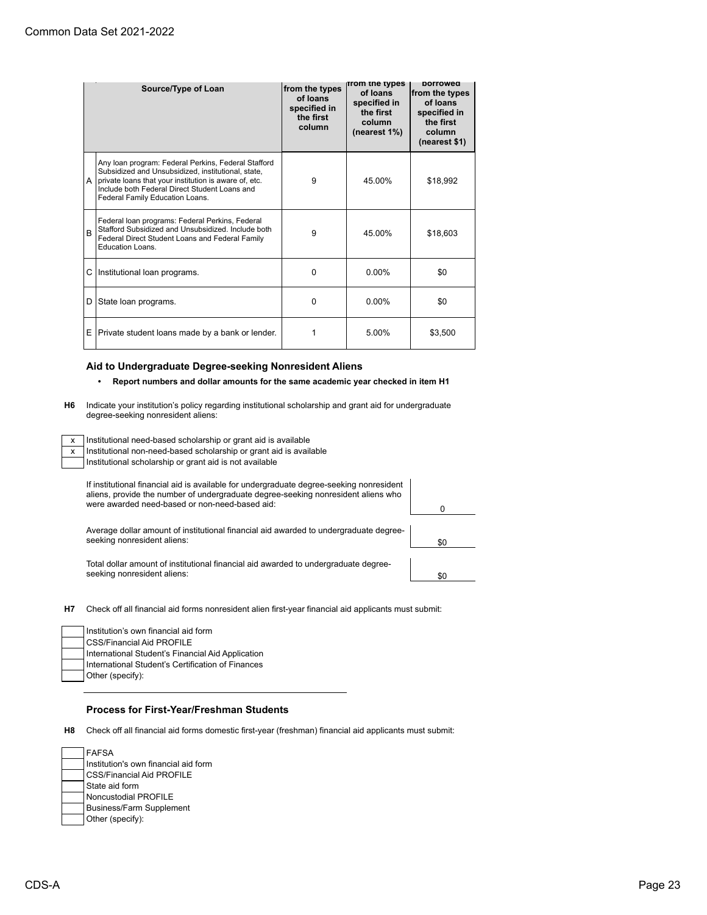|    | Source/Type of Loan                                                                                                                                                                                                                                    | from the types<br>of loans<br>specified in<br>the first<br>column | <b>from the types</b><br>of loans<br>specified in<br>the first<br>column<br>(nearest 1%) | porrowed<br>from the types<br>of loans<br>specified in<br>the first<br>column<br>(nearest \$1) |
|----|--------------------------------------------------------------------------------------------------------------------------------------------------------------------------------------------------------------------------------------------------------|-------------------------------------------------------------------|------------------------------------------------------------------------------------------|------------------------------------------------------------------------------------------------|
| A  | Any Ioan program: Federal Perkins, Federal Stafford<br>Subsidized and Unsubsidized, institutional, state,<br>private loans that your institution is aware of, etc.<br>Include both Federal Direct Student Loans and<br>Federal Family Education Loans. | 9                                                                 | 45.00%                                                                                   | \$18,992                                                                                       |
| B  | Federal Ioan programs: Federal Perkins, Federal<br>Stafford Subsidized and Unsubsidized, Include both<br>Federal Direct Student Loans and Federal Family<br>Education Loans.                                                                           | 9                                                                 | 45.00%                                                                                   | \$18,603                                                                                       |
|    | C   Institutional loan programs.                                                                                                                                                                                                                       | 0                                                                 | $0.00\%$                                                                                 | \$0                                                                                            |
| D  | State loan programs.                                                                                                                                                                                                                                   | 0                                                                 | $0.00\%$                                                                                 | \$0                                                                                            |
| E. | Private student loans made by a bank or lender.                                                                                                                                                                                                        | 1                                                                 | 5.00%                                                                                    | \$3,500                                                                                        |

# **Aid to Undergraduate Degree-seeking Nonresident Aliens**

# **• Report numbers and dollar amounts for the same academic year checked in item H1**

**H6** Indicate your institution's policy regarding institutional scholarship and grant aid for undergraduate degree-seeking nonresident aliens:

| x | Institutional need-based scholarship or grant aid is available                                                                                                                                                                  |     |
|---|---------------------------------------------------------------------------------------------------------------------------------------------------------------------------------------------------------------------------------|-----|
| x | Institutional non-need-based scholarship or grant aid is available                                                                                                                                                              |     |
|   | Institutional scholarship or grant aid is not available                                                                                                                                                                         |     |
|   | If institutional financial aid is available for undergraduate degree-seeking nonresident<br>aliens, provide the number of undergraduate degree-seeking nonresident aliens who<br>were awarded need-based or non-need-based aid: |     |
|   | Average dollar amount of institutional financial aid awarded to undergraduate degree-<br>seeking nonresident aliens:                                                                                                            | \$0 |
|   | Total dollar amount of institutional financial aid awarded to undergraduate degree-<br>seeking nonresident aliens:                                                                                                              | \$0 |
|   |                                                                                                                                                                                                                                 |     |

**H7** Check off all financial aid forms nonresident alien first-year financial aid applicants must submit:

| Institution's own financial aid form<br><b>CSS/Financial Aid PROFILE</b> |
|--------------------------------------------------------------------------|
| International Student's Financial Aid Application                        |
| International Student's Certification of Finances                        |
| Other (specify):                                                         |

# **Process for First-Year/Freshman Students**

**H8** Check off all financial aid forms domestic first-year (freshman) financial aid applicants must submit:

| <b>FAFSA</b>                         |
|--------------------------------------|
| Institution's own financial aid form |
| <b>CSS/Financial Aid PROFILE</b>     |
| State aid form                       |
| Noncustodial PROFILE                 |
| Business/Farm Supplement             |
| Other (specify):                     |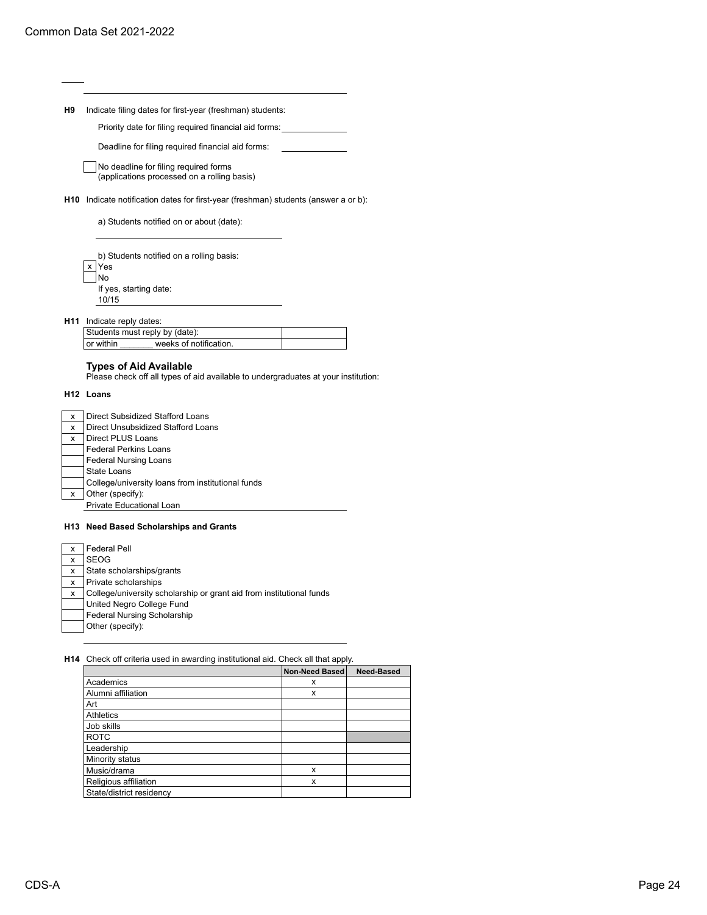**H9** Indicate filing dates for first-year (freshman) students:

Priority date for filing required financial aid forms:

Deadline for filing required financial aid forms:

No deadline for filing required forms (applications processed on a rolling basis)

**H10** Indicate notification dates for first-year (freshman) students (answer a or b):

a) Students notified on or about (date):

b) Students notified on a rolling basis: x Yes No If yes, starting date: 10/15

**H11** Indicate reply dates:

| .                              |                        |  |
|--------------------------------|------------------------|--|
| Students must reply by (date): |                        |  |
| or within                      | weeks of notification. |  |
|                                |                        |  |

# **Types of Aid Available**

Please check off all types of aid available to undergraduates at your institution:

### **H12 Loans**

| x | Direct Subsidized Stafford Loans                  |
|---|---------------------------------------------------|
| x | Direct Unsubsidized Stafford Loans                |
| x | <b>Direct PLUS Loans</b>                          |
|   | <b>Federal Perkins Loans</b>                      |
|   | <b>Federal Nursing Loans</b>                      |
|   | State Loans                                       |
|   | College/university loans from institutional funds |
| x | Other (specify):                                  |
|   | Private Educational Loan                          |

## **H13 Need Based Scholarships and Grants**

| х | <b>Federal Pell</b>                                                  |
|---|----------------------------------------------------------------------|
| x | <b>SEOG</b>                                                          |
| x | State scholarships/grants                                            |
| x | Private scholarships                                                 |
| x | College/university scholarship or grant aid from institutional funds |
|   | United Negro College Fund                                            |
|   | Federal Nursing Scholarship                                          |
|   | Other (specify):                                                     |
|   |                                                                      |

**H14** Check off criteria used in awarding institutional aid. Check all that apply.

|                          | Non-Need Based | Need-Based |
|--------------------------|----------------|------------|
| Academics                | x              |            |
| Alumni affiliation       | x              |            |
| Art                      |                |            |
| <b>Athletics</b>         |                |            |
| Job skills               |                |            |
| <b>ROTC</b>              |                |            |
| Leadership               |                |            |
| Minority status          |                |            |
| Music/drama              | x              |            |
| Religious affiliation    | x              |            |
| State/district residency |                |            |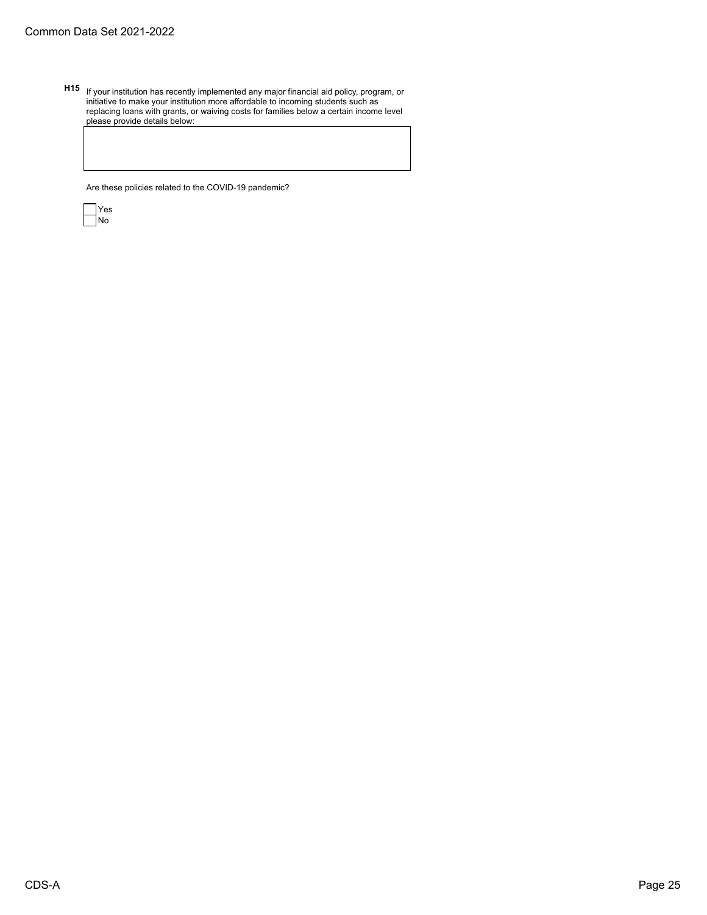**H15** If your institution has recently implemented any major financial aid policy, program, or initiative to make your institution more affordable to incoming students such as replacing loans with grants, or waiving costs for families below a certain income level please provide details below:

Are these policies related to the COVID-19 pandemic?

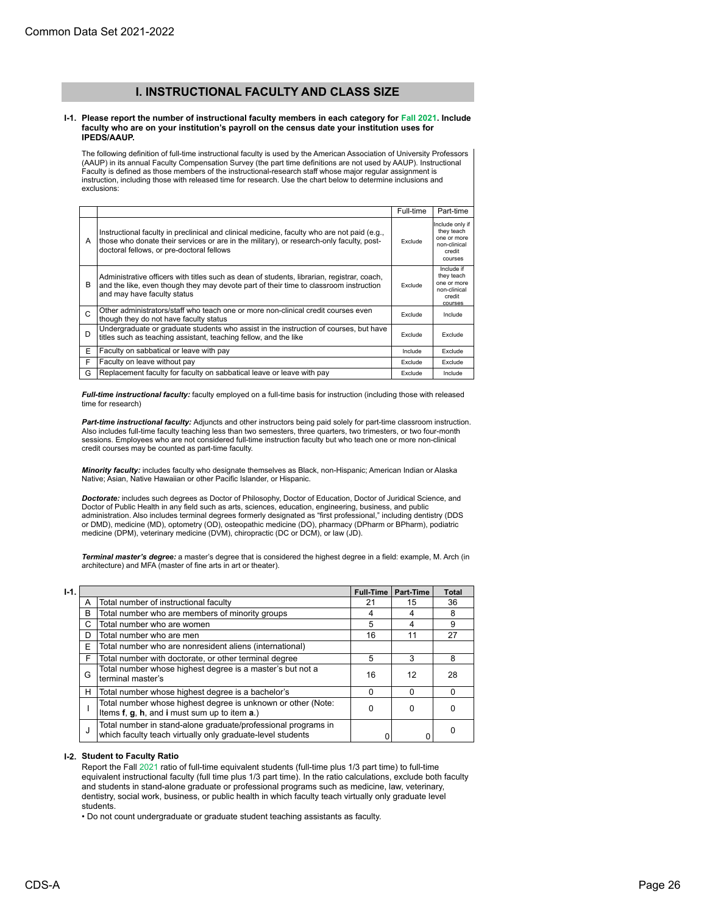# **I. INSTRUCTIONAL FACULTY AND CLASS SIZE**

#### **I-1. Please report the number of instructional faculty members in each category for Fall 2021. Include faculty who are on your institution's payroll on the census date your institution uses for IPEDS/AAUP.**

The following definition of full-time instructional faculty is used by the American Association of University Professors (AAUP) in its annual Faculty Compensation Survey (the part time definitions are not used by AAUP). Instructional Faculty is defined as those members of the instructional-research staff whose major regular assignment is instruction, including those with released time for research. Use the chart below to determine inclusions and exclusions:

|              |                                                                                                                                                                                                                                      | Full-time      | Part-time                                                                                |
|--------------|--------------------------------------------------------------------------------------------------------------------------------------------------------------------------------------------------------------------------------------|----------------|------------------------------------------------------------------------------------------|
| A            | Instructional faculty in preclinical and clinical medicine, faculty who are not paid (e.g.,<br>those who donate their services or are in the military), or research-only faculty, post-<br>doctoral fellows, or pre-doctoral fellows | Exclude        | Include only if<br>they teach<br>one or more<br>non-clinical<br>credit<br><b>COULSES</b> |
| B            | Administrative officers with titles such as dean of students, librarian, registrar, coach,<br>and the like, even though they may devote part of their time to classroom instruction<br>and may have faculty status                   | Exclude        | Include if<br>they teach<br>one or more<br>non-clinical<br>credit<br>courses             |
| $\mathsf{C}$ | Other administrators/staff who teach one or more non-clinical credit courses even<br>though they do not have faculty status                                                                                                          | <b>Exclude</b> | Include                                                                                  |
| D            | Undergraduate or graduate students who assist in the instruction of courses, but have<br>titles such as teaching assistant, teaching fellow, and the like                                                                            | Exclude        | Exclude                                                                                  |
| E            | Faculty on sabbatical or leave with pay                                                                                                                                                                                              | Include        | Exclude                                                                                  |
| E            | Faculty on leave without pay                                                                                                                                                                                                         | Exclude        | Exclude                                                                                  |
| G            | Replacement faculty for faculty on sabbatical leave or leave with pay                                                                                                                                                                | Exclude        | Include                                                                                  |

*Full-time instructional faculty:* faculty employed on a full-time basis for instruction (including those with released time for research)

*Part-time instructional faculty:* Adjuncts and other instructors being paid solely for part-time classroom instruction. Also includes full-time faculty teaching less than two semesters, three quarters, two trimesters, or two four-month sessions. Employees who are not considered full-time instruction faculty but who teach one or more non-clinical credit courses may be counted as part-time faculty.

*Minority faculty:* includes faculty who designate themselves as Black, non-Hispanic; American Indian or Alaska Native; Asian, Native Hawaiian or other Pacific Islander, or Hispanic.

*Doctorate:* includes such degrees as Doctor of Philosophy, Doctor of Education, Doctor of Juridical Science, and Doctor of Public Health in any field such as arts, sciences, education, engineering, business, and public administration. Also includes terminal degrees formerly designated as "first professional," including dentistry (DDS or DMD), medicine (MD), optometry (OD), osteopathic medicine (DO), pharmacy (DPharm or BPharm), podiatric medicine (DPM), veterinary medicine (DVM), chiropractic (DC or DCM), or law (JD).

*Terminal master's degree:* a master's degree that is considered the highest degree in a field: example, M. Arch (in architecture) and MFA (master of fine arts in art or theater).

| $I-1.$ |                                                                                     |                                                                                                                             | <b>Full-Time</b> | Part-Time | <b>Total</b> |
|--------|-------------------------------------------------------------------------------------|-----------------------------------------------------------------------------------------------------------------------------|------------------|-----------|--------------|
|        | А                                                                                   | Total number of instructional faculty                                                                                       | 21               | 15        | 36           |
|        | B                                                                                   | Total number who are members of minority groups                                                                             | 4                |           | 8            |
|        | C                                                                                   | Total number who are women                                                                                                  | 5                | 4         | 9            |
|        | D                                                                                   | Total number who are men                                                                                                    | 16               | 11        | 27           |
|        | Е                                                                                   | Total number who are nonresident aliens (international)                                                                     |                  |           |              |
|        | F                                                                                   | Total number with doctorate, or other terminal degree                                                                       | 5                | 3         | 8            |
|        | Total number whose highest degree is a master's but not a<br>G<br>terminal master's |                                                                                                                             | 16               | 12        | 28           |
|        | н                                                                                   | Total number whose highest degree is a bachelor's                                                                           | 0                | ŋ         | $\Omega$     |
|        |                                                                                     | Total number whose highest degree is unknown or other (Note:<br>Items f, g, h, and i must sum up to item a.)                |                  | ŋ         | $\Omega$     |
|        |                                                                                     | Total number in stand-alone graduate/professional programs in<br>which faculty teach virtually only graduate-level students |                  | O         | O            |

## **I-2. Student to Faculty Ratio**

Report the Fall 2021 ratio of full-time equivalent students (full-time plus 1/3 part time) to full-time equivalent instructional faculty (full time plus 1/3 part time). In the ratio calculations, exclude both faculty and students in stand-alone graduate or professional programs such as medicine, law, veterinary, dentistry, social work, business, or public health in which faculty teach virtually only graduate level students.

• Do not count undergraduate or graduate student teaching assistants as faculty.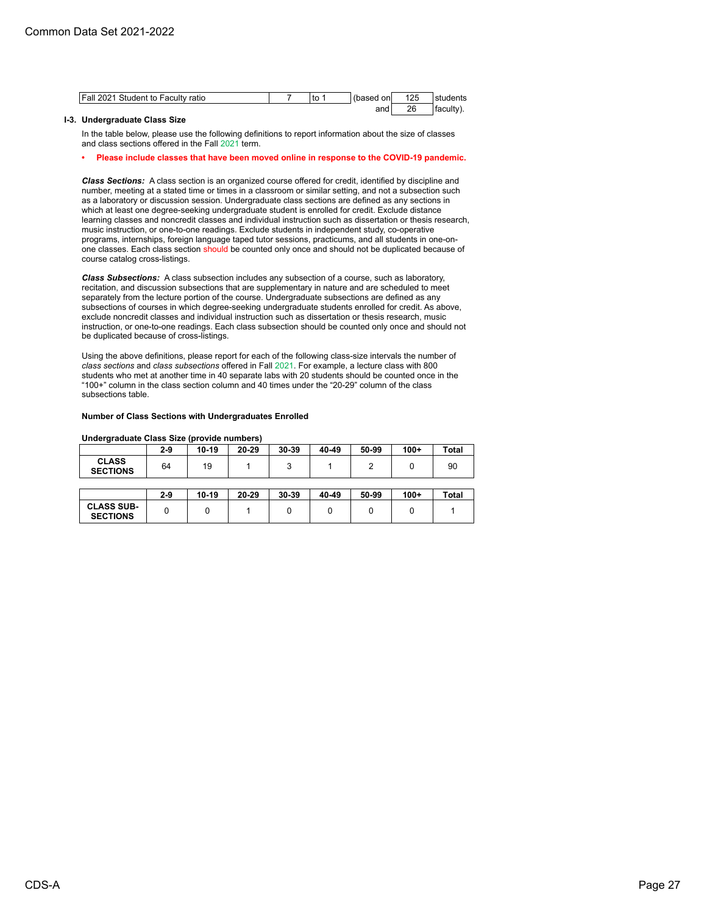| Fall 2021 Student to Faculty ratio | l to | (based on | 125 | students  |
|------------------------------------|------|-----------|-----|-----------|
|                                    |      | and       | 26  | faculty). |

## **I-3. Undergraduate Class Size**

In the table below, please use the following definitions to report information about the size of classes and class sections offered in the Fall 2021 term.

**• Please include classes that have been moved online in response to the COVID-19 pandemic.**

*Class Sections:* A class section is an organized course offered for credit, identified by discipline and number, meeting at a stated time or times in a classroom or similar setting, and not a subsection such as a laboratory or discussion session. Undergraduate class sections are defined as any sections in which at least one degree-seeking undergraduate student is enrolled for credit. Exclude distance learning classes and noncredit classes and individual instruction such as dissertation or thesis research, music instruction, or one-to-one readings. Exclude students in independent study, co-operative programs, internships, foreign language taped tutor sessions, practicums, and all students in one-onone classes. Each class section should be counted only once and should not be duplicated because of course catalog cross-listings.

*Class Subsections:* A class subsection includes any subsection of a course, such as laboratory, recitation, and discussion subsections that are supplementary in nature and are scheduled to meet separately from the lecture portion of the course. Undergraduate subsections are defined as any subsections of courses in which degree-seeking undergraduate students enrolled for credit. As above, exclude noncredit classes and individual instruction such as dissertation or thesis research, music instruction, or one-to-one readings. Each class subsection should be counted only once and should not be duplicated because of cross-listings.

Using the above definitions, please report for each of the following class-size intervals the number of *class sections* and *class subsections* offered in Fall 2021. For example, a lecture class with 800 students who met at another time in 40 separate labs with 20 students should be counted once in the "100+" column in the class section column and 40 times under the "20-29" column of the class subsections table.

#### **Number of Class Sections with Undergraduates Enrolled**

|                                      | $2-9$    | $10 - 19$ | $20 - 29$ | 30-39 | 40-49 | 50-99 | $100+$ | Total |  |
|--------------------------------------|----------|-----------|-----------|-------|-------|-------|--------|-------|--|
| <b>CLASS</b><br><b>SECTIONS</b>      | 64       | 19        |           | 3     |       | 2     |        | 90    |  |
|                                      |          |           |           |       |       |       |        |       |  |
|                                      | $2-9$    | $10 - 19$ | $20 - 29$ | 30-39 | 40-49 | 50-99 | $100+$ | Total |  |
| <b>CLASS SUB-</b><br><b>SECTIONS</b> | $\Omega$ | 0         |           | 0     | 0     |       |        |       |  |

**Undergraduate Class Size (provide numbers)**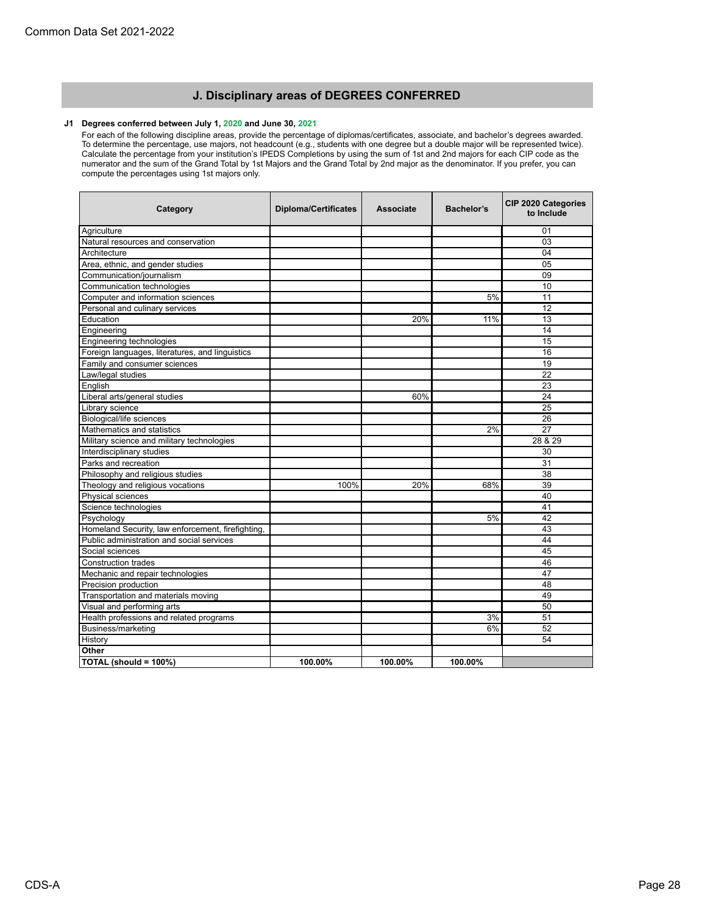# **J. Disciplinary areas of DEGREES CONFERRED**

## **J1 Degrees conferred between July 1, 2020 and June 30, 2021**

For each of the following discipline areas, provide the percentage of diplomas/certificates, associate, and bachelor's degrees awarded. To determine the percentage, use majors, not headcount (e.g., students with one degree but a double major will be represented twice). Calculate the percentage from your institution's IPEDS Completions by using the sum of 1st and 2nd majors for each CIP code as the numerator and the sum of the Grand Total by 1st Majors and the Grand Total by 2nd major as the denominator. If you prefer, you can compute the percentages using 1st majors only.

| Category                                          | <b>Diploma/Certificates</b> | <b>Associate</b> | Bachelor's | CIP 2020 Categories<br>to Include |
|---------------------------------------------------|-----------------------------|------------------|------------|-----------------------------------|
| Agriculture                                       |                             |                  |            | 01                                |
| Natural resources and conservation                |                             |                  |            | 03                                |
| Architecture                                      |                             |                  |            | 04                                |
| Area, ethnic, and gender studies                  |                             |                  |            | 05                                |
| Communication/journalism                          |                             |                  |            | 09                                |
| Communication technologies                        |                             |                  |            | 10                                |
| Computer and information sciences                 |                             |                  | 5%         | 11                                |
| Personal and culinary services                    |                             |                  |            | 12                                |
| Education                                         |                             | 20%              | 11%        | 13                                |
| Engineering                                       |                             |                  |            | 14                                |
| Engineering technologies                          |                             |                  |            | 15                                |
| Foreign languages, literatures, and linguistics   |                             |                  |            | 16                                |
| Family and consumer sciences                      |                             |                  |            | 19                                |
| Law/legal studies                                 |                             |                  |            | 22                                |
| English                                           |                             |                  |            | 23                                |
| Liberal arts/general studies                      |                             | 60%              |            | 24                                |
| Library science                                   |                             |                  |            | 25                                |
| Biological/life sciences                          |                             |                  |            | 26                                |
| Mathematics and statistics                        |                             |                  | 2%         | 27                                |
| Military science and military technologies        |                             |                  |            | 28 & 29                           |
| Interdisciplinary studies                         |                             |                  |            | 30                                |
| Parks and recreation                              |                             |                  |            | 31                                |
| Philosophy and religious studies                  |                             |                  |            | 38                                |
| Theology and religious vocations                  | 100%                        | 20%              | 68%        | 39                                |
| Physical sciences                                 |                             |                  |            | 40                                |
| Science technologies                              |                             |                  |            | 41                                |
| Psychology                                        |                             |                  | 5%         | 42                                |
| Homeland Security, law enforcement, firefighting, |                             |                  |            | 43                                |
| Public administration and social services         |                             |                  |            | 44                                |
| Social sciences                                   |                             |                  |            | 45                                |
| <b>Construction trades</b>                        |                             |                  |            | 46                                |
| Mechanic and repair technologies                  |                             |                  |            | 47                                |
| Precision production                              |                             |                  |            | 48                                |
| Transportation and materials moving               |                             |                  |            | 49                                |
| Visual and performing arts                        |                             |                  |            | 50                                |
| Health professions and related programs           |                             |                  | 3%         | 51                                |
| Business/marketing                                |                             |                  | 6%         | 52                                |
| History                                           |                             |                  |            | 54                                |
| Other                                             |                             |                  |            |                                   |
| TOTAL (should = 100%)                             | 100.00%                     | 100.00%          | 100.00%    |                                   |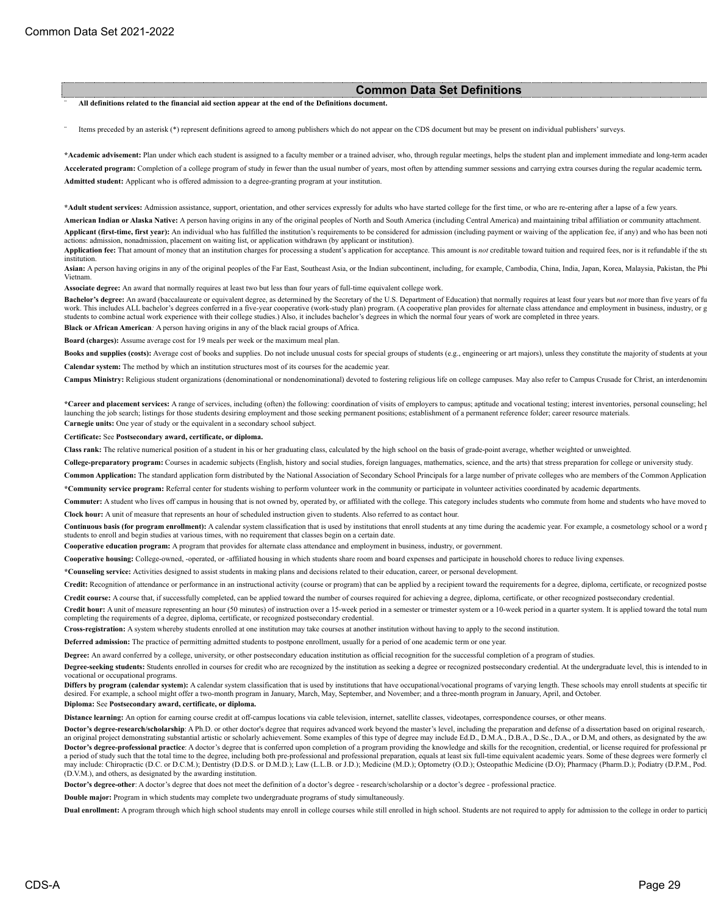### **Common Data Set Definitions**

#### ¨ **All definitions related to the financial aid section appear at the end of the Definitions document.**

Items preceded by an asterisk (\*) represent definitions agreed to among publishers which do not appear on the CDS document but may be present on individual publishers' surveys.

\*Academic advisement: Plan under which each student is assigned to a faculty member or a trained adviser, who, through regular meetings, helps the student plan and implement immediate and long-term acade **Accelerated program:** Completion of a college program of study in fewer than the usual number of years, most often by attending summer sessions and carrying extra courses during the regular academic term**. Admitted student:** Applicant who is offered admission to a degree-granting program at your institution.

**\*Adult student services:** Admission assistance, support, orientation, and other services expressly for adults who have started college for the first time, or who are re-entering after a lapse of a few years.

**American Indian or Alaska Native:** A person having origins in any of the original peoples of North and South America (including Central America) and maintaining tribal affiliation or community attachment. Applicant (first-time, first year): An individual who has fulfilled the institution's requirements to be considered for admission (including payment or waiving of the application fee, if any) and who has been not actions: admission, nonadmission, placement on waiting list, or application withdrawn (by applicant or institution).

Application fee: That amount of money that an institution charges for processing a student's application for acceptance. This amount is not creditable toward tuition and required fees, nor is it refundable if the st institution.

Asian: A person having origins in any of the original peoples of the Far East, Southeast Asia, or the Indian subcontinent, including, for example, Cambodia, China, India, Japan, Korea, Malaysia, Pakistan, the Ph Vietnam.

**Associate degree:** An award that normally requires at least two but less than four years of full-time equivalent college work.

Bachelor's degree: An award (baccalaureate or equivalent degree, as determined by the Secretary of the U.S. Department of Education) that normally requires at least four years but not more than five years of fi work. This includes ALL bachelor's degrees conferred in a five-vear cooperative (work-study plan) program. (A cooperative plan provides for alternate class attendance and employment in business, industry, or g students to combine actual work experience with their college studies.) Also, it includes bachelor's degrees in which the normal four years of work are completed in three years. **Black or African American***:* A person having origins in any of the black racial groups of Africa.

**Board (charges):** Assume average cost for 19 meals per week or the maximum meal plan.

Books and supplies (costs): Average cost of books and supplies. Do not include unusual costs for special groups of students (e.g., engineering or art majors), unless they constitute the majority of students at you

**Calendar system:** The method by which an institution structures most of its courses for the academic year.

Campus Ministry: Religious student organizations (denominational or nondenominational) devoted to fostering religious life on college campuses. May also refer to Campus Crusade for Christ, an interdenomin

\*Career and placement services: A range of services, including (often) the following: coordination of visits of employers to campus; aptitude and vocational testing; interest inventories, personal counseling; he launching the job search; listings for those students desiring employment and those seeking permanent positions; establishment of a permanent reference folder; career resource materials. **Carnegie units:** One year of study or the equivalent in a secondary school subject.

#### **Certificate:** See **Postsecondary award, certificate, or diploma.**

**Class rank:** The relative numerical position of a student in his or her graduating class, calculated by the high school on the basis of grade-point average, whether weighted or unweighted.

**College-preparatory program:** Courses in academic subjects (English, history and social studies, foreign languages, mathematics, science, and the arts) that stress preparation for college or university study.

Common Application: The standard application form distributed by the National Association of Secondary School Principals for a large number of private colleges who are members of the Common Application

**\*Community service program:** Referral center for students wishing to perform volunteer work in the community or participate in volunteer activities coordinated by academic departments.

Commuter: A student who lives off campus in housing that is not owned by, operated by, or affiliated with the college. This category includes students who commute from home and students who have moved to **Clock hour:** A unit of measure that represents an hour of scheduled instruction given to students. Also referred to as contact hour.

Continuous basis (for program enrollment): A calendar system classification that is used by institutions that enroll students at any time during the academic year. For example, a cosmetology school or a word students to enroll and begin studies at various times, with no requirement that classes begin on a certain date.

**Cooperative education program:** A program that provides for alternate class attendance and employment in business, industry, or government.

**Cooperative housing:** College-owned, -operated, or -affiliated housing in which students share room and board expenses and participate in household chores to reduce living expenses.

**\*Counseling service:** Activities designed to assist students in making plans and decisions related to their education, career, or personal development.

Credit: Recognition of attendance or performance in an instructional activity (course or program) that can be applied by a recipient toward the requirements for a degree, diploma, certificate, or recognized postse

**Credit course:** A course that, if successfully completed, can be applied toward the number of courses required for achieving a degree, diploma, certificate, or other recognized postsecondary credential.

Credit hour: A unit of measure representing an hour (50 minutes) of instruction over a 15-week period in a semester or trimester system or a 10-week period in a quarter system. It is applied toward the total num completing the requirements of a degree, diploma, certificate, or recognized postsecondary credential.

**Cross-registration:** A system whereby students enrolled at one institution may take courses at another institution without having to apply to the second institution.

**Deferred admission:** The practice of permitting admitted students to postpone enrollment, usually for a period of one academic term or one year.

**Degree:** An award conferred by a college, university, or other postsecondary education institution as official recognition for the successful completion of a program of studies.

Degree-seeking students: Students enrolled in courses for credit who are recognized by the institution as seeking a degree or recognized postsecondary credential. At the undergraduate level, this is intended to ir vocational or occupational programs.

Differs by program (calendar system): A calendar system classification that is used by institutions that have occupational/vocational programs of varying length. These schools may enroll students at specific tin desired. For example, a school might offer a two-month program in January, March, May, September, and November; and a three-month program in January, April, and October. **Diploma:** See **Postsecondary award, certificate, or diploma.**

Distance learning: An option for earning course credit at off-campus locations via cable television, internet, satellite classes, videotapes, correspondence courses, or other means.

Doctor's degree-research/scholarship: A Ph.D. or other doctor's degree that requires advanced work beyond the master's level, including the preparation and defense of a dissertation based on original research, an original project demonstrating substantial artistic or scholarly achievement. Some examples of this type of degree may include Ed.D., D.M.A., D.B.A., D.Sc., D.A., or D.M, and others, as designated by the aw Doctor's degree-professional practice: A doctor's degree that is conferred upon completion of a program providing the knowledge and skills for the recognition, credential, or license required for professional pr a period of study such that the total time to the degree, including both pre-professional and professional preparation, equals at least six full-time equivalent academic years. Some of these degrees were formerly c may include: Chiropractic (D.C. or D.C.M.); Dentistry (D.D.S. or D.M.D.); Law (L.L.B. or J.D.); Medicine (M.D.); Optometry (O.D.); Osteopathic Medicine (D.O); Pharmacy (Pharm.D.); Podiatry (D.P.M., Pod. (D.V.M.), and others, as designated by the awarding institution.

**Doctor's degree-other**: A doctor's degree that does not meet the definition of a doctor's degree - research/scholarship or a doctor's degree - professional practice.

**Double major:** Program in which students may complete two undergraduate programs of study simultaneously.

Dual enrollment: A program through which high school students may enroll in college courses while still enrolled in high school. Students are not required to apply for admission to the college in order to partici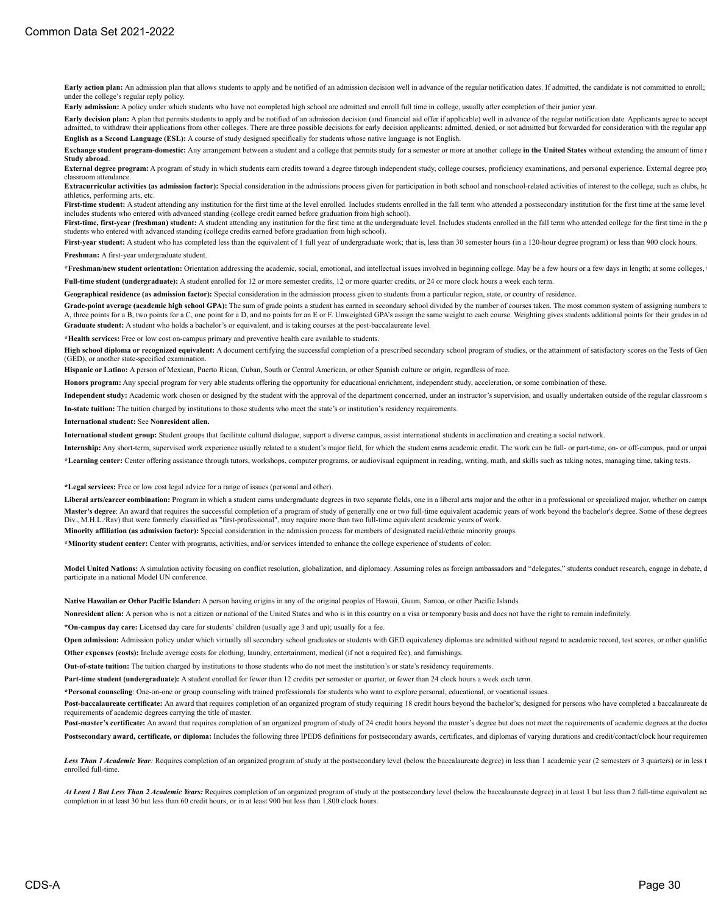Early action plan: An admission plan that allows students to apply and be notified of an admission decision well in advance of the regular notification dates. If admitted, the candidate is not committed to enroll; under the college's regular reply policy.

Early admission: A policy under which students who have not completed high school are admitted and enroll full time in college, usually after completion of their junior year.

Early decision plan: A plan that permits students to apply and be notified of an admission decision (and financial aid offer if applicable) well in advance of the regular notification date. Applicants agree to accept admitted, to withdraw their applications from other colleges. There are three possible decisions for early decision applicants: admitted, denied, or not admitted but forwarded for consideration with the regular app **English as a Second Language (ESL):** A course of study designed specifically for students whose native language is not English.

Exchange student program-domestic: Any arrangement between a student and a college that permits study for a semester or more at another college in the United States without extending the amount of time **Study abroad**.

External degree program: A program of study in which students earn credits toward a degree through independent study, college courses, proficiency examinations, and personal experience. External degree pro classroom attendance.

Extracurricular activities (as admission factor): Special consideration in the admissions process given for participation in both school and nonschool-related activities of interest to the college, such as clubs, he athletics, performing arts, etc.

First-time student: A student attending any institution for the first time at the level enrolled. Includes students enrolled in the fall term who attended a postsecondary institution for the first time at the same level includes students who entered with advanced standing (college credit earned before graduation from high school).

First-time, first-year (freshman) student: A student attending any institution for the first time at the undergraduate level. Includes students enrolled in the fall term who attended college for the first time in the p students who entered with advanced standing (college credits earned before graduation from high school).

First-year student: A student who has completed less than the equivalent of 1 full year of undergraduate work; that is, less than 30 semester hours (in a 120-hour degree program) or less than 900 clock hours.

**Freshman:** A first-year undergraduate student.

\*Freshman/new student orientation: Orientation addressing the academic, social, emotional, and intellectual issues involved in beginning college. May be a few hours or a few days in length; at some colleges, Full-time student (undergraduate): A student enrolled for 12 or more semester credits, 12 or more quarter credits, or 24 or more clock hours a week each term.

**Geographical residence (as admission factor):** Special consideration in the admission process given to students from a particular region, state, or country of residence. Grade-point average (academic high school GPA): The sum of grade points a student has earned in secondary school divided by the number of courses taken. The most common system of assigning numbers to A, three points for a B, two points for a C, one point for a D, and no points for an E or F. Unweighted GPA's assign the same weight to each course. Weighting gives students additional points for their grades in a **Graduate student:** A student who holds a bachelor's or equivalent, and is taking courses at the post-baccalaureate level.

**\*Health services:** Free or low cost on-campus primary and preventive health care available to students.

High school diploma or recognized equivalent: A document certifying the successful completion of a prescribed secondary school program of studies, or the attainment of satisfactory scores on the Tests of Ger (GED), or another state-specified examination.

**Hispanic or Latino:** A person of Mexican, Puerto Rican, Cuban, South or Central American, or other Spanish culture or origin, regardless of race.

**Honors program:** Any special program for very able students offering the opportunity for educational enrichment, independent study, acceleration, or some combination of these.

Independent study: Academic work chosen or designed by the student with the approval of the department concerned, under an instructor's supervision, and usually undertaken outside of the regular classroom s **In-state tuition:** The tuition charged by institutions to those students who meet the state's or institution's residency requirements.

**International student:** See **Nonresident alien.**

**International student group:** Student groups that facilitate cultural dialogue, support a diverse campus, assist international students in acclimation and creating a social network.

Internship: Any short-term, supervised work experience usually related to a student's major field, for which the student earns academic credit. The work can be full- or part-time, on- or off-campus, paid or unpaid

**\*Learning center:** Center offering assistance through tutors, workshops, computer programs, or audiovisual equipment in reading, writing, math, and skills such as taking notes, managing time, taking tests.

#### **\*Legal services:** Free or low cost legal advice for a range of issues (personal and other).

Liberal arts/career combination: Program in which a student earns undergraduate degrees in two separate fields, one in a liberal arts major and the other in a professional or specialized major, whether on camp Master's degree: An award that requires the successful completion of a program of study of generally one or two full-time equivalent academic years of work beyond the bachelor's degree. Some of these degrees Div., M.H.L./Rav) that were formerly classified as "first-professional", may require more than two full-time equivalent academic years of work.

**Minority affiliation (as admission factor):** Special consideration in the admission process for members of designated racial/ethnic minority groups.

**\*Minority student center:** Center with programs, activities, and/or services intended to enhance the college experience of students of color.

Model United Nations: A simulation activity focusing on conflict resolution, globalization, and diplomacy. Assuming roles as foreign ambassadors and "delegates," students conduct research, engage in debate, or participate in a national Model UN conference.

**Native Hawaiian or Other Pacific Islander:** A person having origins in any of the original peoples of Hawaii, Guam, Samoa, or other Pacific Islands.

**Nonresident alien:** A person who is not a citizen or national of the United States and who is in this country on a visa or temporary basis and does not have the right to remain indefinitely.

**\*On-campus day care:** Licensed day care for students' children (usually age 3 and up); usually for a fee.

Open admission: Admission policy under which virtually all secondary school graduates or students with GED equivalency diplomas are admitted without regard to academic record, test scores, or other qualific **Other expenses (costs):** Include average costs for clothing, laundry, entertainment, medical (if not a required fee), and furnishings.

**Out-of-state tuition:** The tuition charged by institutions to those students who do not meet the institution's or state's residency requirements.

Part-time student (undergraduate): A student enrolled for fewer than 12 credits per semester or quarter, or fewer than 24 clock hours a week each term.

**\*Personal counseling**: One-on-one or group counseling with trained professionals for students who want to explore personal, educational, or vocational issues.

Post-baccalaureate certificate: An award that requires completion of an organized program of study requiring 18 credit hours beyond the bachelor's; designed for persons who have completed a baccalaureate de requirements of academic degrees carrying the title of master.

Post-master's certificate: An award that requires completion of an organized program of study of 24 credit hours beyond the master's degree but does not meet the requirements of academic degrees at the docto Postsecondary award, certificate, or diploma: Includes the following three IPEDS definitions for postsecondary awards, certificates, and diplomas of varying durations and credit/contact/clock hour requirement

Less Than 1 Academic Year: Requires completion of an organized program of study at the postsecondary level (below the baccalaureate degree) in less than 1 academic year (2 semesters or 3 quarters) or in less enrolled full-time.

At Least 1 But Less Than 2 Academic Years: Requires completion of an organized program of study at the postsecondary level (below the baccalaureate degree) in at least 1 but less than 2 full-time equivalent ac completion in at least 30 but less than 60 credit hours, or in at least 900 but less than 1,800 clock hours.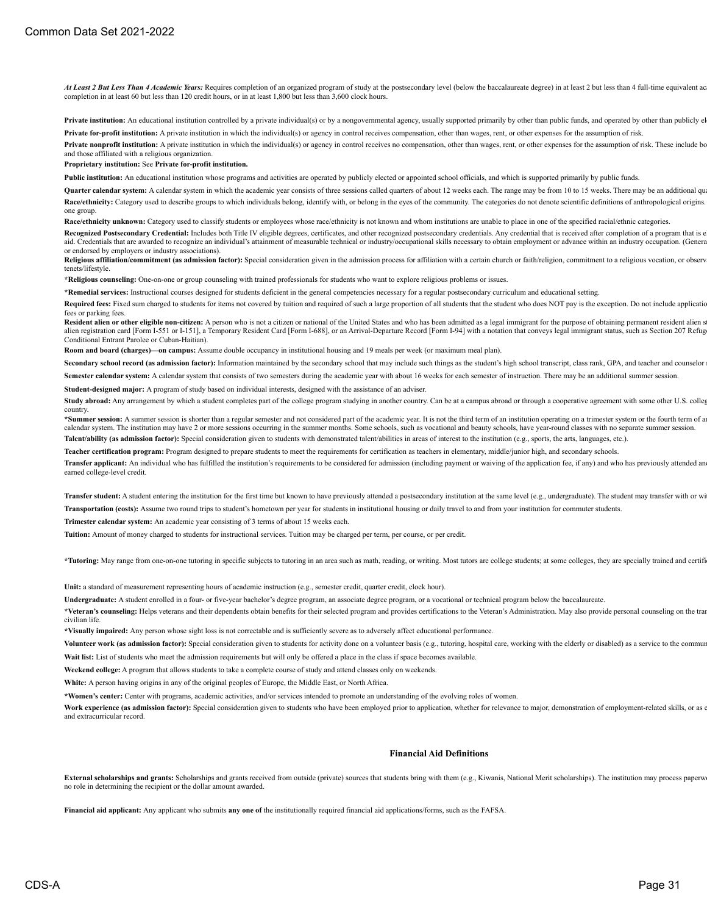At Least 2 But Less Than 4 Academic Years: Requires completion of an organized program of study at the postsecondary level (below the baccalaureate degree) in at least 2 but less than 4 full-time equivalent ac completion in at least 60 but less than 120 credit hours, or in at least 1,800 but less than 3,600 clock hours.

Private institution: An educational institution controlled by a private individual(s) or by a nongovernmental agency, usually supported primarily by other than public funds, and operated by other than publicly el

Private for-profit institution: A private institution in which the individual(s) or agency in control receives compensation, other than wages, rent, or other expenses for the assumption of risk Private nonprofit institution: A private institution in which the individual(s) or agency in control receives no compensation, other than wages, rent, or other expenses for the assumption of risk. These include bo

and those affiliated with a religious organization. **Proprietary institution:** See **Private for-profit institution.**

Public institution: An educational institution whose programs and activities are operated by publicly elected or appointed school officials, and which is supported primarily by public funds.

Quarter calendar system: A calendar system in which the academic year consists of three sessions called quarters of about 12 weeks each. The range may be from 10 to 15 weeks. There may be an additional qu Race/ethnicity: Category used to describe groups to which individuals belong, identify with, or belong in the eves of the community. The categories do not denote scientific definitions of anthropological origins. one group.

Race/ethnicity unknown: Category used to classify students or employees whose race/ethnicity is not known and whom institutions are unable to place in one of the specified racial/ethnic categories.

Recognized Postsecondary Credential: Includes both Title IV eligible degrees, certificates, and other recognized postsecondary credentials. Any credential that is received after completion of a program that is e aid. Credentials that are awarded to recognize an individual's attainment of measurable technical or industry/occupational skills necessary to obtain employment or advance within an industry occupation. (General or endorsed by employers or industry associations).

Religious affiliation/commitment (as admission factor): Special consideration given in the admission process for affiliation with a certain church or faith/religion, commitment to a religious vocation, or observed for a fi tenets/lifestyle.

**\*Religious counseling:** One-on-one or group counseling with trained professionals for students who want to explore religious problems or issues.

**\*Remedial services:** Instructional courses designed for students deficient in the general competencies necessary for a regular postsecondary curriculum and educational setting.

Required fees: Fixed sum charged to students for items not covered by tuition and required of such a large proportion of all students that the student who does NOT pay is the exception. Do not include application fees or parking fees.

Resident alien or other eligible non-citizen: A person who is not a citizen or national of the United States and who has been admitted as a legal immigrant for the purpose of obtaining permanent resident alien s alien registration card [Form I-551 or I-151], a Temporary Resident Card [Form I-688], or an Arrival-Departure Record [Form I-94] with a notation that conveys legal immigrant status, such as Section 207 Refug Conditional Entrant Parolee or Cuban-Haitian).

**Room and board (charges)—on campus:** Assume double occupancy in institutional housing and 19 meals per week (or maximum meal plan).

Secondary school record (as admission factor): Information maintained by the secondary school that may include such things as the student's high school transcript, class rank, GPA, and teacher and counselor

Semester calendar system: A calendar system that consists of two semesters during the academic year with about 16 weeks for each semester of instruction. There may be an additional summer session.

**Student-designed major:** A program of study based on individual interests, designed with the assistance of an adviser.

Study abroad: Any arrangement by which a student completes part of the college program studying in another country. Can be at a campus abroad or through a cooperative agreement with some other U.S. colle; country.

\*Summer session: A summer session is shorter than a regular semester and not considered part of the academic year. It is not the third term of an institution operating on a trimester system or the fourth term of a calendar system. The institution may have 2 or more sessions occurring in the summer months. Some schools, such as vocational and beauty schools, have year-round classes with no separate summer session. Talent/ability (as admission factor): Special consideration given to students with demonstrated talent/abilities in areas of interest to the institution (e.g., sports, the arts, languages, etc.).

**Teacher certification program:** Program designed to prepare students to meet the requirements for certification as teachers in elementary, middle/junior high, and secondary schools.

Transfer applicant: An individual who has fulfilled the institution's requirements to be considered for admission (including payment or waiving of the application fee, if any) and who has previously attended an earned college-level credit.

Transfer student: A student entering the institution for the first time but known to have previously attended a postsecondary institution at the same level (e.g., undergraduate). The student may transfer with or with or wi **Transportation (costs):** Assume two round trips to student's hometown per year for students in institutional housing or daily travel to and from your institution for commuter students.

**Trimester calendar system:** An academic year consisting of 3 terms of about 15 weeks each.

**Tuition:** Amount of money charged to students for instructional services. Tuition may be charged per term, per course, or per credit.

\*Tutoring: May range from one-on-one tutoring in specific subjects to tutoring in an area such as math, reading, or writing. Most tutors are college students; at some colleges, they are specially trained and certific

**Unit:** a standard of measurement representing hours of academic instruction (e.g., semester credit, quarter credit, clock hour).

**Undergraduate:** A student enrolled in a four- or five-year bachelor's degree program, an associate degree program, or a vocational or technical program below the baccalaureate.

\*Veteran's counseling: Helps veterans and their dependents obtain benefits for their selected program and provides certifications to the Veteran's Administration. May also provide personal counseling on the tran civilian life.

**\*Visually impaired:** Any person whose sight loss is not correctable and is sufficiently severe as to adversely affect educational performance.

Volunteer work (as admission factor): Special consideration given to students for activity done on a volunteer basis (e.g., tutoring, hospital care, working with the elderly or disabled) as a service to the commun Wait list: List of students who meet the admission requirements but will only be offered a place in the class if space becomes available

**Weekend college:** A program that allows students to take a complete course of study and attend classes only on weekends.

**White:** A person having origins in any of the original peoples of Europe, the Middle East, or North Africa.

**\*Women's center:** Center with programs, academic activities, and/or services intended to promote an understanding of the evolving roles of women.

Work experience (as admission factor): Special consideration given to students who have been employed prior to application, whether for relevance to major, demonstration of employment-related skills, or as and extracurricular record.

#### **Financial Aid Definitions**

External scholarships and grants: Scholarships and grants received from outside (private) sources that students bring with them (e.g., Kiwanis, National Merit scholarships). The institution may process paperw no role in determining the recipient or the dollar amount awarded.

**Financial aid applicant:** Any applicant who submits **any one of** the institutionally required financial aid applications/forms, such as the FAFSA.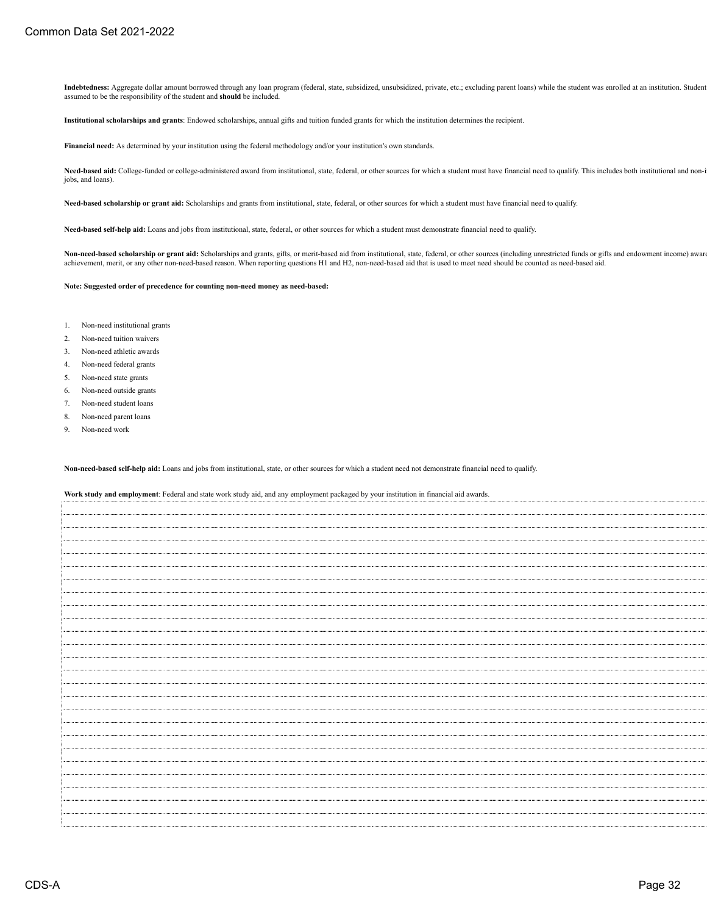Indebtedness: Aggregate dollar amount borrowed through any loan program (federal, state, subsidized, unsubsidized, private, etc.; excluding parent loans) while the student was enrolled at an institution. Student assumed to be the responsibility of the student and **should** be included.

**Institutional scholarships and grants**: Endowed scholarships, annual gifts and tuition funded grants for which the institution determines the recipient.

**Financial need:** As determined by your institution using the federal methodology and/or your institution's own standards.

Need-based aid: College-funded or college-administered award from institutional, state, federal, or other sources for which a student must have financial need to qualify. This includes both institutional and nonjobs, and loans).

**Need-based scholarship or grant aid:** Scholarships and grants from institutional, state, federal, or other sources for which a student must have financial need to qualify.

**Need-based self-help aid:** Loans and jobs from institutional, state, federal, or other sources for which a student must demonstrate financial need to qualify.

Non-need-based scholarship or grant aid: Scholarships and grants, gifts, or merit-based aid from institutional, state, federal, or other sources (including unrestricted funds or gifts and endowment income) awar achievement, merit, or any other non-need-based reason. When reporting questions H1 and H2, non-need-based aid that is used to meet need should be counted as need-based aid.

#### **Note: Suggested order of precedence for counting non-need money as need-based:**

- 1. Non-need institutional grants
- 2. Non-need tuition waivers
- 3. Non-need athletic awards
- 4. Non-need federal grants
- 5. Non-need state grants
- 6. Non-need outside grants
- 7. Non-need student loans
- 8. Non-need parent loans
- 9. Non-need work

**Non-need-based self-help aid:** Loans and jobs from institutional, state, or other sources for which a student need not demonstrate financial need to qualify.

**Work study and employment**: Federal and state work study aid, and any employment packaged by your institution in financial aid awards.